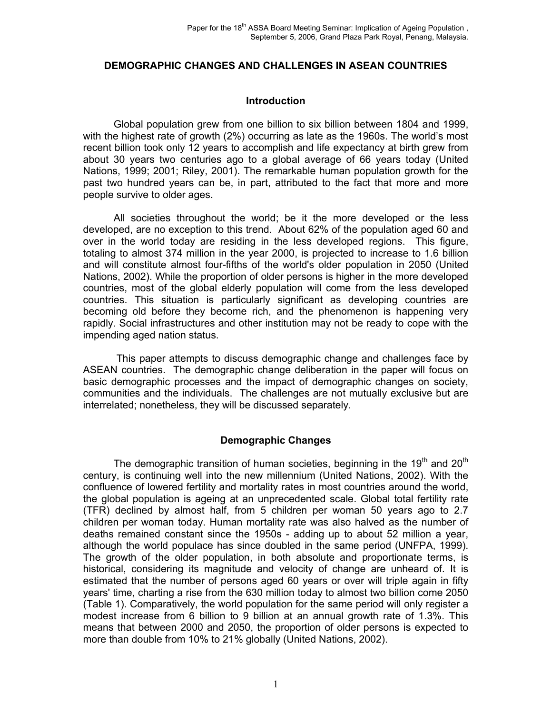#### **DEMOGRAPHIC CHANGES AND CHALLENGES IN ASEAN COUNTRIES**

#### **Introduction**

Global population grew from one billion to six billion between 1804 and 1999, with the highest rate of growth (2%) occurring as late as the 1960s. The world's most recent billion took only 12 years to accomplish and life expectancy at birth grew from about 30 years two centuries ago to a global average of 66 years today (United Nations, 1999; 2001; Riley, 2001). The remarkable human population growth for the past two hundred years can be, in part, attributed to the fact that more and more people survive to older ages.

All societies throughout the world; be it the more developed or the less developed, are no exception to this trend. About 62% of the population aged 60 and over in the world today are residing in the less developed regions. This figure, totaling to almost 374 million in the year 2000, is projected to increase to 1.6 billion and will constitute almost four-fifths of the world's older population in 2050 (United Nations, 2002). While the proportion of older persons is higher in the more developed countries, most of the global elderly population will come from the less developed countries. This situation is particularly significant as developing countries are becoming old before they become rich, and the phenomenon is happening very rapidly. Social infrastructures and other institution may not be ready to cope with the impending aged nation status.

 This paper attempts to discuss demographic change and challenges face by ASEAN countries. The demographic change deliberation in the paper will focus on basic demographic processes and the impact of demographic changes on society, communities and the individuals. The challenges are not mutually exclusive but are interrelated; nonetheless, they will be discussed separately.

## **Demographic Changes**

The demographic transition of human societies, beginning in the 19<sup>th</sup> and 20<sup>th</sup> century, is continuing well into the new millennium (United Nations, 2002). With the confluence of lowered fertility and mortality rates in most countries around the world, the global population is ageing at an unprecedented scale. Global total fertility rate (TFR) declined by almost half, from 5 children per woman 50 years ago to 2.7 children per woman today. Human mortality rate was also halved as the number of deaths remained constant since the 1950s - adding up to about 52 million a year, although the world populace has since doubled in the same period (UNFPA, 1999). The growth of the older population, in both absolute and proportionate terms, is historical, considering its magnitude and velocity of change are unheard of. It is estimated that the number of persons aged 60 years or over will triple again in fifty years' time, charting a rise from the 630 million today to almost two billion come 2050 (Table 1). Comparatively, the world population for the same period will only register a modest increase from 6 billion to 9 billion at an annual growth rate of 1.3%. This means that between 2000 and 2050, the proportion of older persons is expected to more than double from 10% to 21% globally (United Nations, 2002).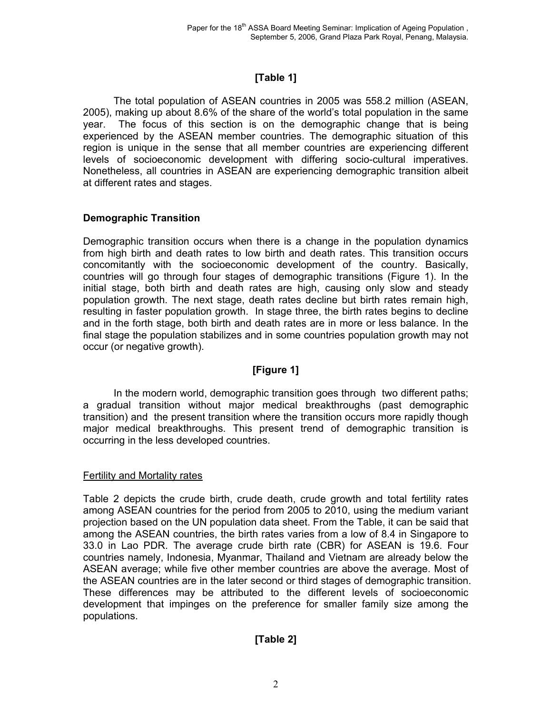# **[Table 1]**

The total population of ASEAN countries in 2005 was 558.2 million (ASEAN, 2005), making up about 8.6% of the share of the world's total population in the same year. The focus of this section is on the demographic change that is being experienced by the ASEAN member countries. The demographic situation of this region is unique in the sense that all member countries are experiencing different levels of socioeconomic development with differing socio-cultural imperatives. Nonetheless, all countries in ASEAN are experiencing demographic transition albeit at different rates and stages.

# **Demographic Transition**

Demographic transition occurs when there is a change in the population dynamics from high birth and death rates to low birth and death rates. This transition occurs concomitantly with the socioeconomic development of the country. Basically, countries will go through four stages of demographic transitions (Figure 1). In the initial stage, both birth and death rates are high, causing only slow and steady population growth. The next stage, death rates decline but birth rates remain high, resulting in faster population growth. In stage three, the birth rates begins to decline and in the forth stage, both birth and death rates are in more or less balance. In the final stage the population stabilizes and in some countries population growth may not occur (or negative growth).

# **[Figure 1]**

In the modern world, demographic transition goes through two different paths; a gradual transition without major medical breakthroughs (past demographic transition) and the present transition where the transition occurs more rapidly though major medical breakthroughs. This present trend of demographic transition is occurring in the less developed countries.

## Fertility and Mortality rates

Table 2 depicts the crude birth, crude death, crude growth and total fertility rates among ASEAN countries for the period from 2005 to 2010, using the medium variant projection based on the UN population data sheet. From the Table, it can be said that among the ASEAN countries, the birth rates varies from a low of 8.4 in Singapore to 33.0 in Lao PDR. The average crude birth rate (CBR) for ASEAN is 19.6. Four countries namely, Indonesia, Myanmar, Thailand and Vietnam are already below the ASEAN average; while five other member countries are above the average. Most of the ASEAN countries are in the later second or third stages of demographic transition. These differences may be attributed to the different levels of socioeconomic development that impinges on the preference for smaller family size among the populations.

# **[Table 2]**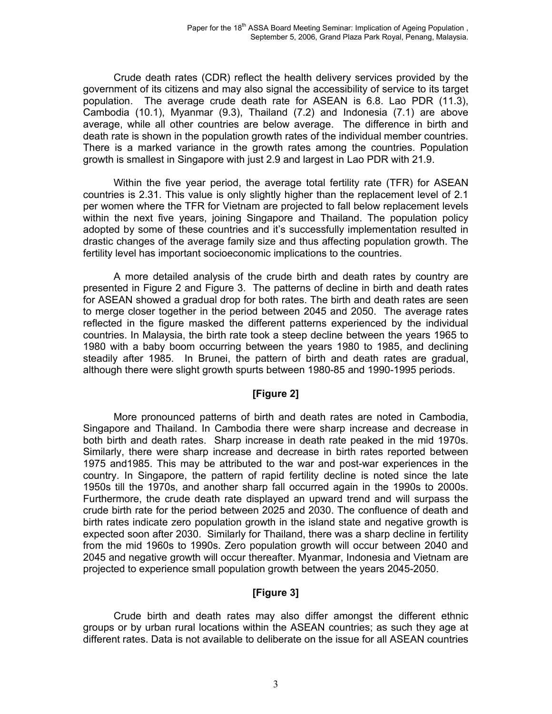Crude death rates (CDR) reflect the health delivery services provided by the government of its citizens and may also signal the accessibility of service to its target population. The average crude death rate for ASEAN is 6.8. Lao PDR (11.3), Cambodia (10.1), Myanmar (9.3), Thailand (7.2) and Indonesia (7.1) are above average, while all other countries are below average. The difference in birth and death rate is shown in the population growth rates of the individual member countries. There is a marked variance in the growth rates among the countries. Population growth is smallest in Singapore with just 2.9 and largest in Lao PDR with 21.9.

Within the five year period, the average total fertility rate (TFR) for ASEAN countries is 2.31. This value is only slightly higher than the replacement level of 2.1 per women where the TFR for Vietnam are projected to fall below replacement levels within the next five years, joining Singapore and Thailand. The population policy adopted by some of these countries and it's successfully implementation resulted in drastic changes of the average family size and thus affecting population growth. The fertility level has important socioeconomic implications to the countries.

A more detailed analysis of the crude birth and death rates by country are presented in Figure 2 and Figure 3. The patterns of decline in birth and death rates for ASEAN showed a gradual drop for both rates. The birth and death rates are seen to merge closer together in the period between 2045 and 2050. The average rates reflected in the figure masked the different patterns experienced by the individual countries. In Malaysia, the birth rate took a steep decline between the years 1965 to 1980 with a baby boom occurring between the years 1980 to 1985, and declining steadily after 1985. In Brunei, the pattern of birth and death rates are gradual, although there were slight growth spurts between 1980-85 and 1990-1995 periods.

## **[Figure 2]**

More pronounced patterns of birth and death rates are noted in Cambodia, Singapore and Thailand. In Cambodia there were sharp increase and decrease in both birth and death rates. Sharp increase in death rate peaked in the mid 1970s. Similarly, there were sharp increase and decrease in birth rates reported between 1975 and1985. This may be attributed to the war and post-war experiences in the country. In Singapore, the pattern of rapid fertility decline is noted since the late 1950s till the 1970s, and another sharp fall occurred again in the 1990s to 2000s. Furthermore, the crude death rate displayed an upward trend and will surpass the crude birth rate for the period between 2025 and 2030. The confluence of death and birth rates indicate zero population growth in the island state and negative growth is expected soon after 2030. Similarly for Thailand, there was a sharp decline in fertility from the mid 1960s to 1990s. Zero population growth will occur between 2040 and 2045 and negative growth will occur thereafter. Myanmar, Indonesia and Vietnam are projected to experience small population growth between the years 2045-2050.

## **[Figure 3]**

Crude birth and death rates may also differ amongst the different ethnic groups or by urban rural locations within the ASEAN countries; as such they age at different rates. Data is not available to deliberate on the issue for all ASEAN countries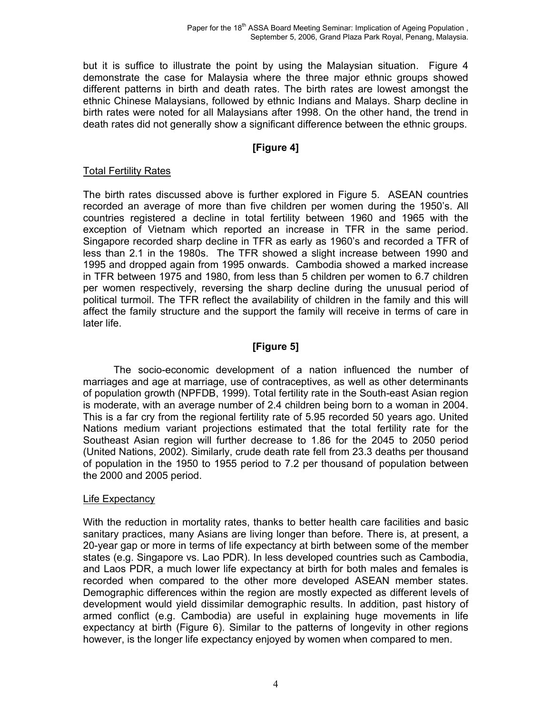but it is suffice to illustrate the point by using the Malaysian situation. Figure 4 demonstrate the case for Malaysia where the three major ethnic groups showed different patterns in birth and death rates. The birth rates are lowest amongst the ethnic Chinese Malaysians, followed by ethnic Indians and Malays. Sharp decline in birth rates were noted for all Malaysians after 1998. On the other hand, the trend in death rates did not generally show a significant difference between the ethnic groups.

# **[Figure 4]**

## Total Fertility Rates

The birth rates discussed above is further explored in Figure 5. ASEAN countries recorded an average of more than five children per women during the 1950's. All countries registered a decline in total fertility between 1960 and 1965 with the exception of Vietnam which reported an increase in TFR in the same period. Singapore recorded sharp decline in TFR as early as 1960's and recorded a TFR of less than 2.1 in the 1980s. The TFR showed a slight increase between 1990 and 1995 and dropped again from 1995 onwards. Cambodia showed a marked increase in TFR between 1975 and 1980, from less than 5 children per women to 6.7 children per women respectively, reversing the sharp decline during the unusual period of political turmoil. The TFR reflect the availability of children in the family and this will affect the family structure and the support the family will receive in terms of care in later life.

# **[Figure 5]**

The socio-economic development of a nation influenced the number of marriages and age at marriage, use of contraceptives, as well as other determinants of population growth (NPFDB, 1999). Total fertility rate in the South-east Asian region is moderate, with an average number of 2.4 children being born to a woman in 2004. This is a far cry from the regional fertility rate of 5.95 recorded 50 years ago. United Nations medium variant projections estimated that the total fertility rate for the Southeast Asian region will further decrease to 1.86 for the 2045 to 2050 period (United Nations, 2002). Similarly, crude death rate fell from 23.3 deaths per thousand of population in the 1950 to 1955 period to 7.2 per thousand of population between the 2000 and 2005 period.

#### Life Expectancy

With the reduction in mortality rates, thanks to better health care facilities and basic sanitary practices, many Asians are living longer than before. There is, at present, a 20-year gap or more in terms of life expectancy at birth between some of the member states (e.g. Singapore vs. Lao PDR). In less developed countries such as Cambodia, and Laos PDR, a much lower life expectancy at birth for both males and females is recorded when compared to the other more developed ASEAN member states. Demographic differences within the region are mostly expected as different levels of development would yield dissimilar demographic results. In addition, past history of armed conflict (e.g. Cambodia) are useful in explaining huge movements in life expectancy at birth (Figure 6). Similar to the patterns of longevity in other regions however, is the longer life expectancy enjoyed by women when compared to men.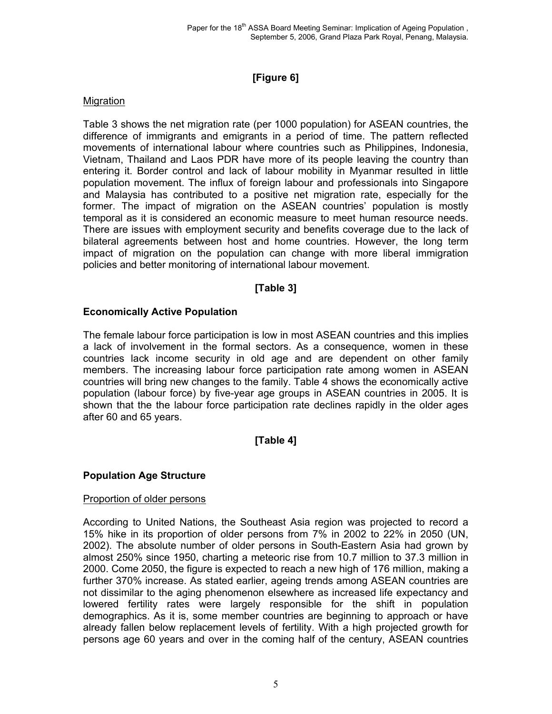# **[Figure 6]**

## **Migration**

Table 3 shows the net migration rate (per 1000 population) for ASEAN countries, the difference of immigrants and emigrants in a period of time. The pattern reflected movements of international labour where countries such as Philippines, Indonesia, Vietnam, Thailand and Laos PDR have more of its people leaving the country than entering it. Border control and lack of labour mobility in Myanmar resulted in little population movement. The influx of foreign labour and professionals into Singapore and Malaysia has contributed to a positive net migration rate, especially for the former. The impact of migration on the ASEAN countries' population is mostly temporal as it is considered an economic measure to meet human resource needs. There are issues with employment security and benefits coverage due to the lack of bilateral agreements between host and home countries. However, the long term impact of migration on the population can change with more liberal immigration policies and better monitoring of international labour movement.

# **[Table 3]**

## **Economically Active Population**

The female labour force participation is low in most ASEAN countries and this implies a lack of involvement in the formal sectors. As a consequence, women in these countries lack income security in old age and are dependent on other family members. The increasing labour force participation rate among women in ASEAN countries will bring new changes to the family. Table 4 shows the economically active population (labour force) by five-year age groups in ASEAN countries in 2005. It is shown that the the labour force participation rate declines rapidly in the older ages after 60 and 65 years.

# **[Table 4]**

## **Population Age Structure**

## Proportion of older persons

According to United Nations, the Southeast Asia region was projected to record a 15% hike in its proportion of older persons from 7% in 2002 to 22% in 2050 (UN, 2002). The absolute number of older persons in South-Eastern Asia had grown by almost 250% since 1950, charting a meteoric rise from 10.7 million to 37.3 million in 2000. Come 2050, the figure is expected to reach a new high of 176 million, making a further 370% increase. As stated earlier, ageing trends among ASEAN countries are not dissimilar to the aging phenomenon elsewhere as increased life expectancy and lowered fertility rates were largely responsible for the shift in population demographics. As it is, some member countries are beginning to approach or have already fallen below replacement levels of fertility. With a high projected growth for persons age 60 years and over in the coming half of the century, ASEAN countries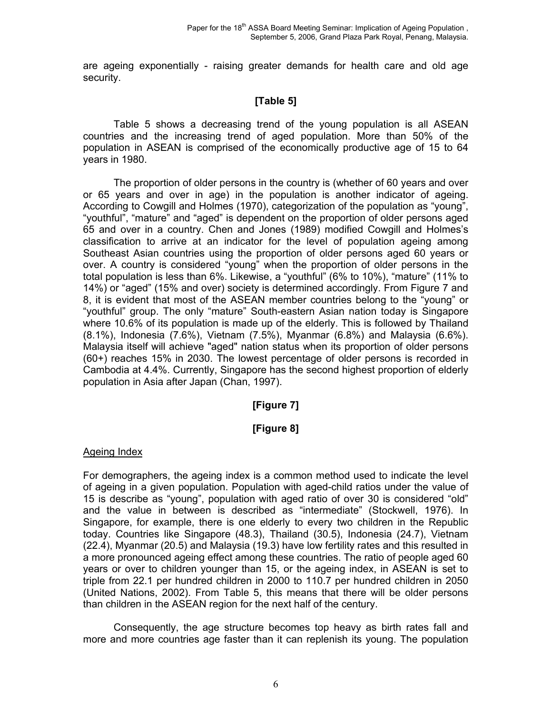are ageing exponentially - raising greater demands for health care and old age security.

# **[Table 5]**

Table 5 shows a decreasing trend of the young population is all ASEAN countries and the increasing trend of aged population. More than 50% of the population in ASEAN is comprised of the economically productive age of 15 to 64 years in 1980.

The proportion of older persons in the country is (whether of 60 years and over or 65 years and over in age) in the population is another indicator of ageing. According to Cowgill and Holmes (1970), categorization of the population as "young", "youthful", "mature" and "aged" is dependent on the proportion of older persons aged 65 and over in a country. Chen and Jones (1989) modified Cowgill and Holmes's classification to arrive at an indicator for the level of population ageing among Southeast Asian countries using the proportion of older persons aged 60 years or over. A country is considered "young" when the proportion of older persons in the total population is less than 6%. Likewise, a "youthful" (6% to 10%), "mature" (11% to 14%) or "aged" (15% and over) society is determined accordingly. From Figure 7 and 8, it is evident that most of the ASEAN member countries belong to the "young" or "youthful" group. The only "mature" South-eastern Asian nation today is Singapore where 10.6% of its population is made up of the elderly. This is followed by Thailand (8.1%), Indonesia (7.6%), Vietnam (7.5%), Myanmar (6.8%) and Malaysia (6.6%). Malaysia itself will achieve "aged" nation status when its proportion of older persons (60+) reaches 15% in 2030. The lowest percentage of older persons is recorded in Cambodia at 4.4%. Currently, Singapore has the second highest proportion of elderly population in Asia after Japan (Chan, 1997).

# **[Figure 7]**

## **[Figure 8]**

#### Ageing Index

For demographers, the ageing index is a common method used to indicate the level of ageing in a given population. Population with aged-child ratios under the value of 15 is describe as "young", population with aged ratio of over 30 is considered "old" and the value in between is described as "intermediate" (Stockwell, 1976). In Singapore, for example, there is one elderly to every two children in the Republic today. Countries like Singapore (48.3), Thailand (30.5), Indonesia (24.7), Vietnam (22.4), Myanmar (20.5) and Malaysia (19.3) have low fertility rates and this resulted in a more pronounced ageing effect among these countries. The ratio of people aged 60 years or over to children younger than 15, or the ageing index, in ASEAN is set to triple from 22.1 per hundred children in 2000 to 110.7 per hundred children in 2050 (United Nations, 2002). From Table 5, this means that there will be older persons than children in the ASEAN region for the next half of the century.

Consequently, the age structure becomes top heavy as birth rates fall and more and more countries age faster than it can replenish its young. The population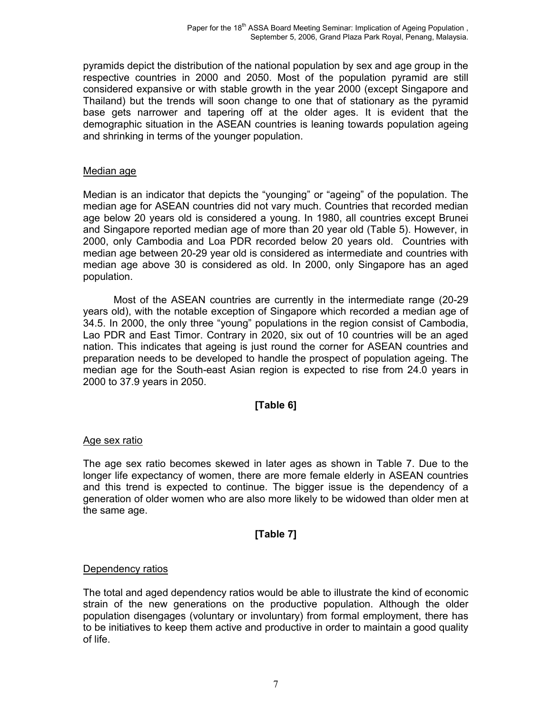pyramids depict the distribution of the national population by sex and age group in the respective countries in 2000 and 2050. Most of the population pyramid are still considered expansive or with stable growth in the year 2000 (except Singapore and Thailand) but the trends will soon change to one that of stationary as the pyramid base gets narrower and tapering off at the older ages. It is evident that the demographic situation in the ASEAN countries is leaning towards population ageing and shrinking in terms of the younger population.

#### Median age

Median is an indicator that depicts the "younging" or "ageing" of the population. The median age for ASEAN countries did not vary much. Countries that recorded median age below 20 years old is considered a young. In 1980, all countries except Brunei and Singapore reported median age of more than 20 year old (Table 5). However, in 2000, only Cambodia and Loa PDR recorded below 20 years old. Countries with median age between 20-29 year old is considered as intermediate and countries with median age above 30 is considered as old. In 2000, only Singapore has an aged population.

Most of the ASEAN countries are currently in the intermediate range (20-29 years old), with the notable exception of Singapore which recorded a median age of 34.5. In 2000, the only three "young" populations in the region consist of Cambodia, Lao PDR and East Timor. Contrary in 2020, six out of 10 countries will be an aged nation. This indicates that ageing is just round the corner for ASEAN countries and preparation needs to be developed to handle the prospect of population ageing. The median age for the South-east Asian region is expected to rise from 24.0 years in 2000 to 37.9 years in 2050.

## **[Table 6]**

#### Age sex ratio

The age sex ratio becomes skewed in later ages as shown in Table 7. Due to the longer life expectancy of women, there are more female elderly in ASEAN countries and this trend is expected to continue. The bigger issue is the dependency of a generation of older women who are also more likely to be widowed than older men at the same age.

## **[Table 7]**

#### Dependency ratios

The total and aged dependency ratios would be able to illustrate the kind of economic strain of the new generations on the productive population. Although the older population disengages (voluntary or involuntary) from formal employment, there has to be initiatives to keep them active and productive in order to maintain a good quality of life.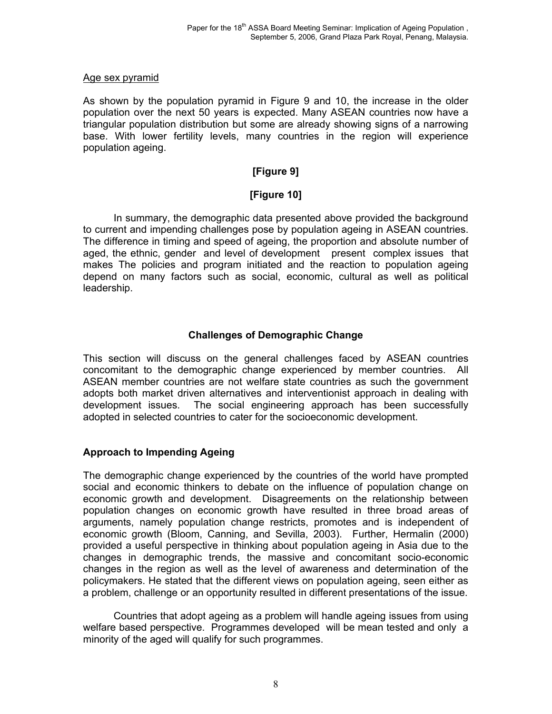#### Age sex pyramid

As shown by the population pyramid in Figure 9 and 10, the increase in the older population over the next 50 years is expected. Many ASEAN countries now have a triangular population distribution but some are already showing signs of a narrowing base. With lower fertility levels, many countries in the region will experience population ageing.

# **[Figure 9]**

# **[Figure 10]**

In summary, the demographic data presented above provided the background to current and impending challenges pose by population ageing in ASEAN countries. The difference in timing and speed of ageing, the proportion and absolute number of aged, the ethnic, gender and level of development present complex issues that makes The policies and program initiated and the reaction to population ageing depend on many factors such as social, economic, cultural as well as political leadership.

# **Challenges of Demographic Change**

This section will discuss on the general challenges faced by ASEAN countries concomitant to the demographic change experienced by member countries. All ASEAN member countries are not welfare state countries as such the government adopts both market driven alternatives and interventionist approach in dealing with development issues. The social engineering approach has been successfully adopted in selected countries to cater for the socioeconomic development.

## **Approach to Impending Ageing**

The demographic change experienced by the countries of the world have prompted social and economic thinkers to debate on the influence of population change on economic growth and development. Disagreements on the relationship between population changes on economic growth have resulted in three broad areas of arguments, namely population change restricts, promotes and is independent of economic growth (Bloom, Canning, and Sevilla, 2003). Further, Hermalin (2000) provided a useful perspective in thinking about population ageing in Asia due to the changes in demographic trends, the massive and concomitant socio-economic changes in the region as well as the level of awareness and determination of the policymakers. He stated that the different views on population ageing, seen either as a problem, challenge or an opportunity resulted in different presentations of the issue.

Countries that adopt ageing as a problem will handle ageing issues from using welfare based perspective. Programmes developed will be mean tested and only a minority of the aged will qualify for such programmes.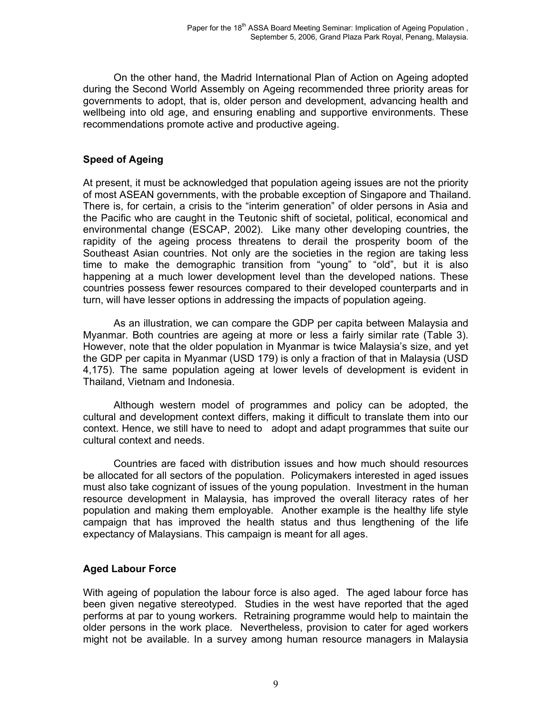On the other hand, the Madrid International Plan of Action on Ageing adopted during the Second World Assembly on Ageing recommended three priority areas for governments to adopt, that is, older person and development, advancing health and wellbeing into old age, and ensuring enabling and supportive environments. These recommendations promote active and productive ageing.

# **Speed of Ageing**

At present, it must be acknowledged that population ageing issues are not the priority of most ASEAN governments, with the probable exception of Singapore and Thailand. There is, for certain, a crisis to the "interim generation" of older persons in Asia and the Pacific who are caught in the Teutonic shift of societal, political, economical and environmental change (ESCAP, 2002). Like many other developing countries, the rapidity of the ageing process threatens to derail the prosperity boom of the Southeast Asian countries. Not only are the societies in the region are taking less time to make the demographic transition from "young" to "old", but it is also happening at a much lower development level than the developed nations. These countries possess fewer resources compared to their developed counterparts and in turn, will have lesser options in addressing the impacts of population ageing.

As an illustration, we can compare the GDP per capita between Malaysia and Myanmar. Both countries are ageing at more or less a fairly similar rate (Table 3). However, note that the older population in Myanmar is twice Malaysia's size, and yet the GDP per capita in Myanmar (USD 179) is only a fraction of that in Malaysia (USD 4,175). The same population ageing at lower levels of development is evident in Thailand, Vietnam and Indonesia.

Although western model of programmes and policy can be adopted, the cultural and development context differs, making it difficult to translate them into our context. Hence, we still have to need to adopt and adapt programmes that suite our cultural context and needs.

Countries are faced with distribution issues and how much should resources be allocated for all sectors of the population. Policymakers interested in aged issues must also take cognizant of issues of the young population. Investment in the human resource development in Malaysia, has improved the overall literacy rates of her population and making them employable. Another example is the healthy life style campaign that has improved the health status and thus lengthening of the life expectancy of Malaysians. This campaign is meant for all ages.

# **Aged Labour Force**

With ageing of population the labour force is also aged. The aged labour force has been given negative stereotyped. Studies in the west have reported that the aged performs at par to young workers. Retraining programme would help to maintain the older persons in the work place. Nevertheless, provision to cater for aged workers might not be available. In a survey among human resource managers in Malaysia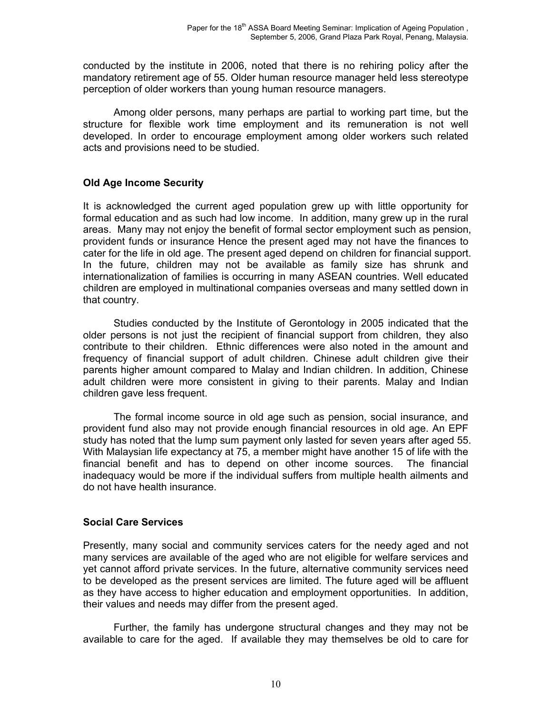conducted by the institute in 2006, noted that there is no rehiring policy after the mandatory retirement age of 55. Older human resource manager held less stereotype perception of older workers than young human resource managers.

Among older persons, many perhaps are partial to working part time, but the structure for flexible work time employment and its remuneration is not well developed. In order to encourage employment among older workers such related acts and provisions need to be studied.

## **Old Age Income Security**

It is acknowledged the current aged population grew up with little opportunity for formal education and as such had low income. In addition, many grew up in the rural areas. Many may not enjoy the benefit of formal sector employment such as pension, provident funds or insurance Hence the present aged may not have the finances to cater for the life in old age. The present aged depend on children for financial support. In the future, children may not be available as family size has shrunk and internationalization of families is occurring in many ASEAN countries. Well educated children are employed in multinational companies overseas and many settled down in that country.

Studies conducted by the Institute of Gerontology in 2005 indicated that the older persons is not just the recipient of financial support from children, they also contribute to their children. Ethnic differences were also noted in the amount and frequency of financial support of adult children. Chinese adult children give their parents higher amount compared to Malay and Indian children. In addition, Chinese adult children were more consistent in giving to their parents. Malay and Indian children gave less frequent.

The formal income source in old age such as pension, social insurance, and provident fund also may not provide enough financial resources in old age. An EPF study has noted that the lump sum payment only lasted for seven years after aged 55. With Malaysian life expectancy at 75, a member might have another 15 of life with the financial benefit and has to depend on other income sources. The financial inadequacy would be more if the individual suffers from multiple health ailments and do not have health insurance.

## **Social Care Services**

Presently, many social and community services caters for the needy aged and not many services are available of the aged who are not eligible for welfare services and yet cannot afford private services. In the future, alternative community services need to be developed as the present services are limited. The future aged will be affluent as they have access to higher education and employment opportunities. In addition, their values and needs may differ from the present aged.

Further, the family has undergone structural changes and they may not be available to care for the aged. If available they may themselves be old to care for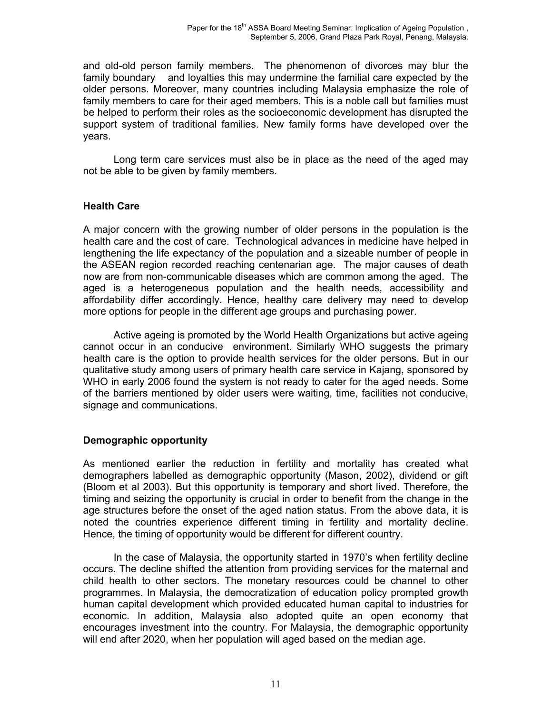and old-old person family members. The phenomenon of divorces may blur the family boundary and loyalties this may undermine the familial care expected by the older persons. Moreover, many countries including Malaysia emphasize the role of family members to care for their aged members. This is a noble call but families must be helped to perform their roles as the socioeconomic development has disrupted the support system of traditional families. New family forms have developed over the years.

Long term care services must also be in place as the need of the aged may not be able to be given by family members.

## **Health Care**

A major concern with the growing number of older persons in the population is the health care and the cost of care. Technological advances in medicine have helped in lengthening the life expectancy of the population and a sizeable number of people in the ASEAN region recorded reaching centenarian age. The major causes of death now are from non-communicable diseases which are common among the aged. The aged is a heterogeneous population and the health needs, accessibility and affordability differ accordingly. Hence, healthy care delivery may need to develop more options for people in the different age groups and purchasing power.

Active ageing is promoted by the World Health Organizations but active ageing cannot occur in an conducive environment. Similarly WHO suggests the primary health care is the option to provide health services for the older persons. But in our qualitative study among users of primary health care service in Kajang, sponsored by WHO in early 2006 found the system is not ready to cater for the aged needs. Some of the barriers mentioned by older users were waiting, time, facilities not conducive, signage and communications.

## **Demographic opportunity**

As mentioned earlier the reduction in fertility and mortality has created what demographers labelled as demographic opportunity (Mason, 2002), dividend or gift (Bloom et al 2003). But this opportunity is temporary and short lived. Therefore, the timing and seizing the opportunity is crucial in order to benefit from the change in the age structures before the onset of the aged nation status. From the above data, it is noted the countries experience different timing in fertility and mortality decline. Hence, the timing of opportunity would be different for different country.

In the case of Malaysia, the opportunity started in 1970's when fertility decline occurs. The decline shifted the attention from providing services for the maternal and child health to other sectors. The monetary resources could be channel to other programmes. In Malaysia, the democratization of education policy prompted growth human capital development which provided educated human capital to industries for economic. In addition, Malaysia also adopted quite an open economy that encourages investment into the country. For Malaysia, the demographic opportunity will end after 2020, when her population will aged based on the median age.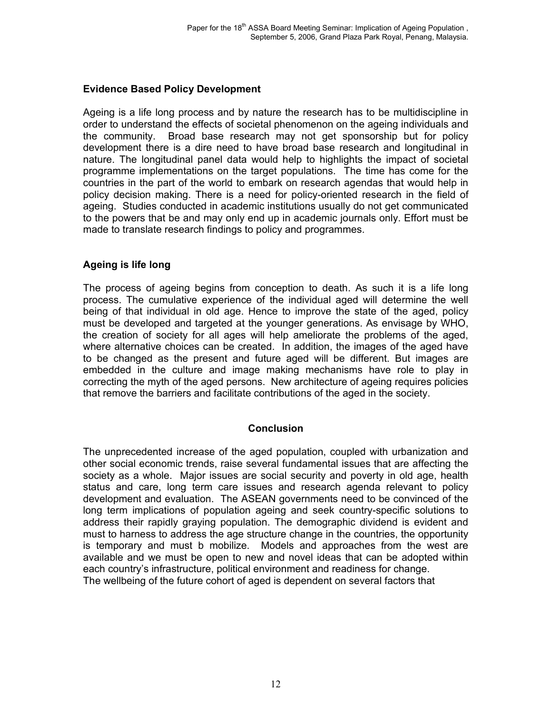## **Evidence Based Policy Development**

Ageing is a life long process and by nature the research has to be multidiscipline in order to understand the effects of societal phenomenon on the ageing individuals and the community. Broad base research may not get sponsorship but for policy development there is a dire need to have broad base research and longitudinal in nature. The longitudinal panel data would help to highlights the impact of societal programme implementations on the target populations. The time has come for the countries in the part of the world to embark on research agendas that would help in policy decision making. There is a need for policy-oriented research in the field of ageing. Studies conducted in academic institutions usually do not get communicated to the powers that be and may only end up in academic journals only. Effort must be made to translate research findings to policy and programmes.

## **Ageing is life long**

The process of ageing begins from conception to death. As such it is a life long process. The cumulative experience of the individual aged will determine the well being of that individual in old age. Hence to improve the state of the aged, policy must be developed and targeted at the younger generations. As envisage by WHO, the creation of society for all ages will help ameliorate the problems of the aged, where alternative choices can be created. In addition, the images of the aged have to be changed as the present and future aged will be different. But images are embedded in the culture and image making mechanisms have role to play in correcting the myth of the aged persons. New architecture of ageing requires policies that remove the barriers and facilitate contributions of the aged in the society.

#### **Conclusion**

The unprecedented increase of the aged population, coupled with urbanization and other social economic trends, raise several fundamental issues that are affecting the society as a whole. Major issues are social security and poverty in old age, health status and care, long term care issues and research agenda relevant to policy development and evaluation. The ASEAN governments need to be convinced of the long term implications of population ageing and seek country-specific solutions to address their rapidly graying population. The demographic dividend is evident and must to harness to address the age structure change in the countries, the opportunity is temporary and must b mobilize. Models and approaches from the west are available and we must be open to new and novel ideas that can be adopted within each country's infrastructure, political environment and readiness for change. The wellbeing of the future cohort of aged is dependent on several factors that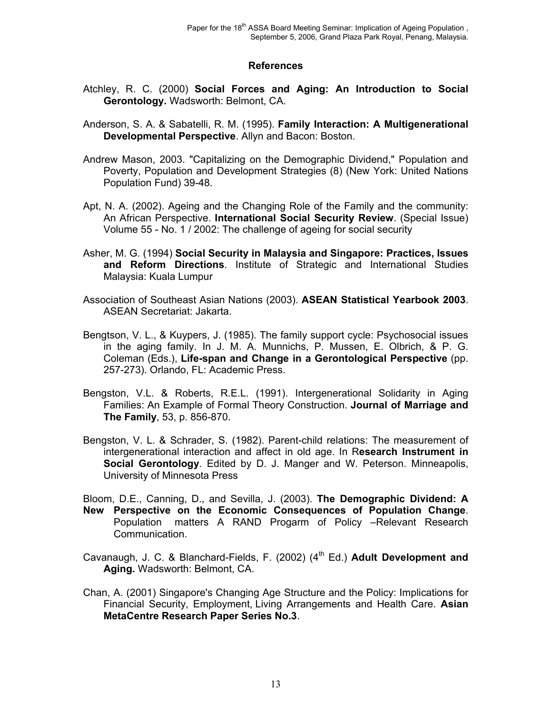#### **References**

- Atchley, R. C. (2000) **Social Forces and Aging: An Introduction to Social Gerontology.** Wadsworth: Belmont, CA.
- Anderson, S. A. & Sabatelli, R. M. (1995). **Family Interaction: A Multigenerational Developmental Perspective**. Allyn and Bacon: Boston.
- Andrew Mason, 2003. "Capitalizing on the Demographic Dividend," Population and Poverty, Population and Development Strategies (8) (New York: United Nations Population Fund) 39-48.
- Apt, N. A. (2002). Ageing and the Changing Role of the Family and the community: An African Perspective. **International Social Security Review**. (Special Issue) Volume 55 - No. 1 / 2002: The challenge of ageing for social security
- Asher, M. G. (1994) **Social Security in Malaysia and Singapore: Practices, Issues and Reform Directions**. Institute of Strategic and International Studies Malaysia: Kuala Lumpur
- Association of Southeast Asian Nations (2003). **ASEAN Statistical Yearbook 2003**. ASEAN Secretariat: Jakarta.
- Bengtson, V. L., & Kuypers, J. (1985). The family support cycle: Psychosocial issues in the aging family. In J. M. A. Munnichs, P. Mussen, E. Olbrich, & P. G. Coleman (Eds.), **Life-span and Change in a Gerontological Perspective** (pp. 257-273). Orlando, FL: Academic Press.
- Bengston, V.L. & Roberts, R.E.L. (1991). Intergenerational Solidarity in Aging Families: An Example of Formal Theory Construction. **Journal of Marriage and The Family**, 53, p. 856-870.
- Bengston, V. L. & Schrader, S. (1982). Parent-child relations: The measurement of intergenerational interaction and affect in old age. In R**esearch Instrument in Social Gerontology**. Edited by D. J. Manger and W. Peterson. Minneapolis, University of Minnesota Press

Bloom, D.E., Canning, D., and Sevilla, J. (2003). **The Demographic Dividend: A New Perspective on the Economic Consequences of Population Change**. Population matters A RAND Progarm of Policy –Relevant Research Communication.

- Cavanaugh, J. C. & Blanchard-Fields, F. (2002) (4<sup>th</sup> Ed.) Adult Development and **Aging.** Wadsworth: Belmont, CA.
- Chan, A. (2001) Singapore's Changing Age Structure and the Policy: Implications for Financial Security, Employment, Living Arrangements and Health Care. **Asian MetaCentre Research Paper Series No.3**.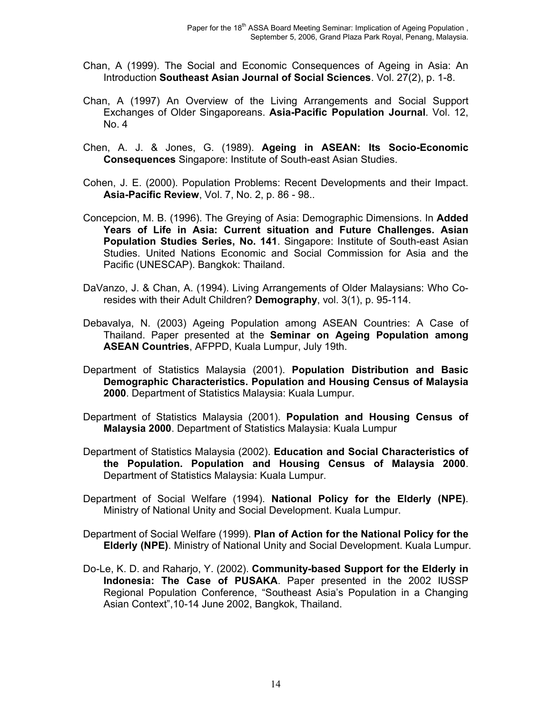- Chan, A (1999). The Social and Economic Consequences of Ageing in Asia: An Introduction **Southeast Asian Journal of Social Sciences**. Vol. 27(2), p. 1-8.
- Chan, A (1997) An Overview of the Living Arrangements and Social Support Exchanges of Older Singaporeans. **Asia-Pacific Population Journal**. Vol. 12, No. 4
- Chen, A. J. & Jones, G. (1989). **Ageing in ASEAN: Its Socio-Economic Consequences** Singapore: Institute of South-east Asian Studies.
- Cohen, J. E. (2000). Population Problems: Recent Developments and their Impact. **Asia-Pacific Review**, Vol. 7, No. 2, p. 86 - 98..
- Concepcion, M. B. (1996). The Greying of Asia: Demographic Dimensions. In **Added Years of Life in Asia: Current situation and Future Challenges. Asian Population Studies Series, No. 141**. Singapore: Institute of South-east Asian Studies. United Nations Economic and Social Commission for Asia and the Pacific (UNESCAP). Bangkok: Thailand.
- DaVanzo, J. & Chan, A. (1994). Living Arrangements of Older Malaysians: Who Coresides with their Adult Children? **Demography**, vol. 3(1), p. 95-114.
- Debavalya, N. (2003) Ageing Population among ASEAN Countries: A Case of Thailand. Paper presented at the **Seminar on Ageing Population among ASEAN Countries**, AFPPD, Kuala Lumpur, July 19th.
- Department of Statistics Malaysia (2001). **Population Distribution and Basic Demographic Characteristics. Population and Housing Census of Malaysia 2000**. Department of Statistics Malaysia: Kuala Lumpur.
- Department of Statistics Malaysia (2001). **Population and Housing Census of Malaysia 2000**. Department of Statistics Malaysia: Kuala Lumpur
- Department of Statistics Malaysia (2002). **Education and Social Characteristics of the Population. Population and Housing Census of Malaysia 2000**. Department of Statistics Malaysia: Kuala Lumpur.
- Department of Social Welfare (1994). **National Policy for the Elderly (NPE)**. Ministry of National Unity and Social Development. Kuala Lumpur.
- Department of Social Welfare (1999). **Plan of Action for the National Policy for the Elderly (NPE)**. Ministry of National Unity and Social Development. Kuala Lumpur.
- Do-Le, K. D. and Raharjo, Y. (2002). **Community-based Support for the Elderly in Indonesia: The Case of PUSAKA**. Paper presented in the 2002 IUSSP Regional Population Conference, "Southeast Asia's Population in a Changing Asian Context",10-14 June 2002, Bangkok, Thailand.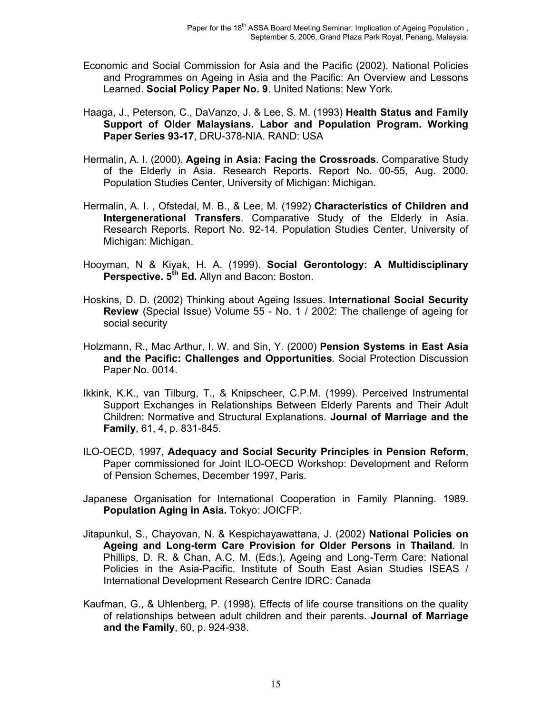- Economic and Social Commission for Asia and the Pacific (2002). National Policies and Programmes on Ageing in Asia and the Pacific: An Overview and Lessons Learned. **Social Policy Paper No. 9**. United Nations: New York.
- Haaga, J., Peterson, C., DaVanzo, J. & Lee, S. M. (1993) **Health Status and Family Support of Older Malaysians. Labor and Population Program. Working Paper Series 93-17**, DRU-378-NIA. RAND: USA
- Hermalin, A. I. (2000). **Ageing in Asia: Facing the Crossroads**. Comparative Study of the Elderly in Asia. Research Reports. Report No. 00-55, Aug. 2000. Population Studies Center, University of Michigan: Michigan.
- Hermalin, A. I. , Ofstedal, M. B., & Lee, M. (1992) **Characteristics of Children and Intergenerational Transfers**. Comparative Study of the Elderly in Asia. Research Reports. Report No. 92-14. Population Studies Center, University of Michigan: Michigan.
- Hooyman, N & Kiyak, H. A. (1999). **Social Gerontology: A Multidisciplinary Perspective. 5th Ed.** Allyn and Bacon: Boston.
- Hoskins, D. D. (2002) Thinking about Ageing Issues. **International Social Security Review** (Special Issue) Volume 55 - No. 1 / 2002: The challenge of ageing for social security
- Holzmann, R., Mac Arthur, I. W. and Sin, Y. (2000) **Pension Systems in East Asia and the Pacific: Challenges and Opportunities***.* Social Protection Discussion Paper No. 0014.
- Ikkink, K.K., van Tilburg, T., & Knipscheer, C.P.M. (1999). Perceived Instrumental Support Exchanges in Relationships Between Elderly Parents and Their Adult Children: Normative and Structural Explanations. **Journal of Marriage and the Family**, 61, 4, p. 831-845.
- ILO-OECD, 1997, **Adequacy and Social Security Principles in Pension Reform**, Paper commissioned for Joint ILO-OECD Workshop: Development and Reform of Pension Schemes, December 1997, Paris.
- Japanese Organisation for International Cooperation in Family Planning. 1989. **Population Aging in Asia.** Tokyo: JOICFP.
- Jitapunkul, S., Chayovan, N. & Kespichayawattana, J. (2002) **National Policies on Ageing and Long-term Care Provision for Older Persons in Thailand**. In Phillips, D. R. & Chan, A.C. M. (Eds.), Ageing and Long-Term Care: National Policies in the Asia-Pacific. Institute of South East Asian Studies ISEAS / International Development Research Centre IDRC: Canada
- Kaufman, G., & Uhlenberg, P. (1998). Effects of life course transitions on the quality of relationships between adult children and their parents. **Journal of Marriage and the Family**, 60, p. 924-938.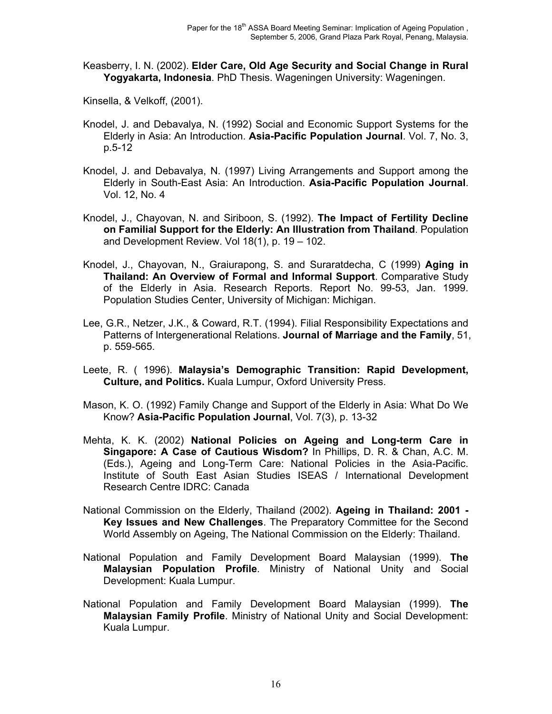Keasberry, I. N. (2002). **Elder Care, Old Age Security and Social Change in Rural Yogyakarta, Indonesia**. PhD Thesis. Wageningen University: Wageningen.

Kinsella, & Velkoff, (2001).

- Knodel, J. and Debavalya, N. (1992) Social and Economic Support Systems for the Elderly in Asia: An Introduction. **Asia-Pacific Population Journal**. Vol. 7, No. 3, p.5-12
- Knodel, J. and Debavalya, N. (1997) Living Arrangements and Support among the Elderly in South-East Asia: An Introduction. **Asia-Pacific Population Journal**. Vol. 12, No. 4
- Knodel, J., Chayovan, N. and Siriboon, S. (1992). **The Impact of Fertility Decline on Familial Support for the Elderly: An Illustration from Thailand**. Population and Development Review. Vol 18(1), p. 19 – 102.
- Knodel, J., Chayovan, N., Graiurapong, S. and Suraratdecha, C (1999) **Aging in Thailand: An Overview of Formal and Informal Support**. Comparative Study of the Elderly in Asia. Research Reports. Report No. 99-53, Jan. 1999. Population Studies Center, University of Michigan: Michigan.
- Lee, G.R., Netzer, J.K., & Coward, R.T. (1994). Filial Responsibility Expectations and Patterns of Intergenerational Relations. **Journal of Marriage and the Family**, 51, p. 559-565.
- Leete, R. ( 1996). **Malaysia's Demographic Transition: Rapid Development, Culture, and Politics.** Kuala Lumpur, Oxford University Press.
- Mason, K. O. (1992) Family Change and Support of the Elderly in Asia: What Do We Know? **Asia-Pacific Population Journal**, Vol. 7(3), p. 13-32
- Mehta, K. K. (2002) **National Policies on Ageing and Long-term Care in Singapore: A Case of Cautious Wisdom?** In Phillips, D. R. & Chan, A.C. M. (Eds.), Ageing and Long-Term Care: National Policies in the Asia-Pacific. Institute of South East Asian Studies ISEAS / International Development Research Centre IDRC: Canada
- National Commission on the Elderly, Thailand (2002). **Ageing in Thailand: 2001 Key Issues and New Challenges**. The Preparatory Committee for the Second World Assembly on Ageing, The National Commission on the Elderly: Thailand.
- National Population and Family Development Board Malaysian (1999). **The Malaysian Population Profile**. Ministry of National Unity and Social Development: Kuala Lumpur.
- National Population and Family Development Board Malaysian (1999). **The Malaysian Family Profile**. Ministry of National Unity and Social Development: Kuala Lumpur.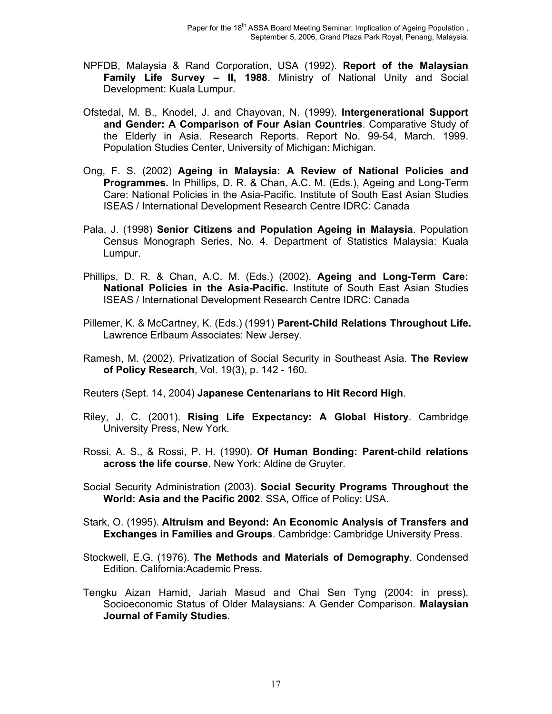- NPFDB, Malaysia & Rand Corporation, USA (1992). **Report of the Malaysian Family Life Survey – II, 1988**. Ministry of National Unity and Social Development: Kuala Lumpur.
- Ofstedal, M. B., Knodel, J. and Chayovan, N. (1999). **Intergenerational Support and Gender: A Comparison of Four Asian Countries**. Comparative Study of the Elderly in Asia. Research Reports. Report No. 99-54, March. 1999. Population Studies Center, University of Michigan: Michigan.
- Ong, F. S. (2002) **Ageing in Malaysia: A Review of National Policies and Programmes.** In Phillips, D. R. & Chan, A.C. M. (Eds.), Ageing and Long-Term Care: National Policies in the Asia-Pacific. Institute of South East Asian Studies ISEAS / International Development Research Centre IDRC: Canada
- Pala, J. (1998) **Senior Citizens and Population Ageing in Malaysia**. Population Census Monograph Series, No. 4. Department of Statistics Malaysia: Kuala Lumpur.
- Phillips, D. R. & Chan, A.C. M. (Eds.) (2002). **Ageing and Long-Term Care: National Policies in the Asia-Pacific.** Institute of South East Asian Studies ISEAS / International Development Research Centre IDRC: Canada
- Pillemer, K. & McCartney, K. (Eds.) (1991) **Parent-Child Relations Throughout Life.**  Lawrence Erlbaum Associates: New Jersey.
- Ramesh, M. (2002). Privatization of Social Security in Southeast Asia. **The Review of Policy Research**, Vol. 19(3), p. 142 - 160.

Reuters (Sept. 14, 2004) **Japanese Centenarians to Hit Record High**.

- Riley, J. C. (2001). **Rising Life Expectancy: A Global History**. Cambridge University Press, New York.
- Rossi, A. S., & Rossi, P. H. (1990). **Of Human Bonding: Parent-child relations across the life course**. New York: Aldine de Gruyter.
- Social Security Administration (2003). **Social Security Programs Throughout the World: Asia and the Pacific 2002**. SSA, Office of Policy: USA.
- Stark, O. (1995). **Altruism and Beyond: An Economic Analysis of Transfers and Exchanges in Families and Groups**. Cambridge: Cambridge University Press.
- Stockwell, E.G. (1976). **The Methods and Materials of Demography**. Condensed Edition. California:Academic Press.
- Tengku Aizan Hamid, Jariah Masud and Chai Sen Tyng (2004: in press). Socioeconomic Status of Older Malaysians: A Gender Comparison. **Malaysian Journal of Family Studies**.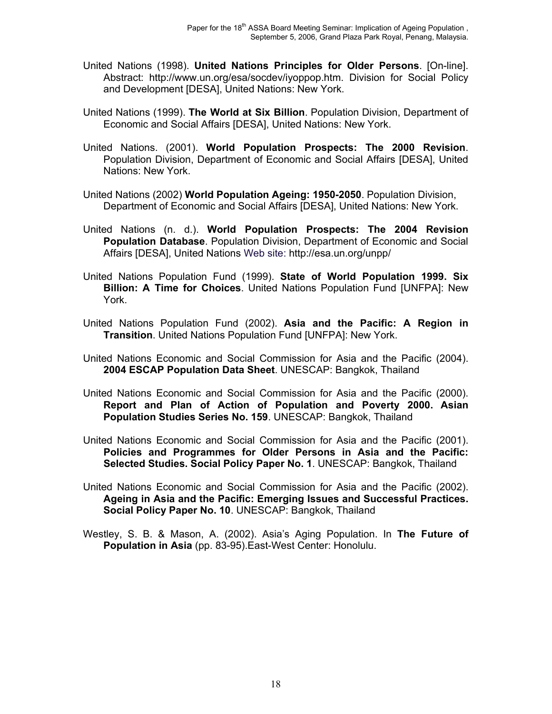- United Nations (1998). **United Nations Principles for Older Persons**. [On-line]. Abstract: http://www.un.org/esa/socdev/iyoppop.htm. Division for Social Policy and Development [DESA], United Nations: New York.
- United Nations (1999). **The World at Six Billion**. Population Division, Department of Economic and Social Affairs [DESA], United Nations: New York.
- United Nations. (2001). **World Population Prospects: The 2000 Revision**. Population Division, Department of Economic and Social Affairs [DESA], United Nations: New York.
- United Nations (2002) **World Population Ageing: 1950-2050**. Population Division, Department of Economic and Social Affairs [DESA], United Nations: New York.
- United Nations (n. d.). **World Population Prospects: The 2004 Revision Population Database**. Population Division, Department of Economic and Social Affairs [DESA], United Nations Web site: http://esa.un.org/unpp/
- United Nations Population Fund (1999). **State of World Population 1999. Six Billion: A Time for Choices**. United Nations Population Fund [UNFPA]: New York.
- United Nations Population Fund (2002). **Asia and the Pacific: A Region in Transition**. United Nations Population Fund [UNFPA]: New York.
- United Nations Economic and Social Commission for Asia and the Pacific (2004). **2004 ESCAP Population Data Sheet**. UNESCAP: Bangkok, Thailand
- United Nations Economic and Social Commission for Asia and the Pacific (2000). **Report and Plan of Action of Population and Poverty 2000. Asian Population Studies Series No. 159**. UNESCAP: Bangkok, Thailand
- United Nations Economic and Social Commission for Asia and the Pacific (2001). **Policies and Programmes for Older Persons in Asia and the Pacific: Selected Studies. Social Policy Paper No. 1**. UNESCAP: Bangkok, Thailand
- United Nations Economic and Social Commission for Asia and the Pacific (2002). **Ageing in Asia and the Pacific: Emerging Issues and Successful Practices. Social Policy Paper No. 10**. UNESCAP: Bangkok, Thailand
- Westley, S. B. & Mason, A. (2002). Asia's Aging Population. In **The Future of Population in Asia** (pp. 83-95).East-West Center: Honolulu.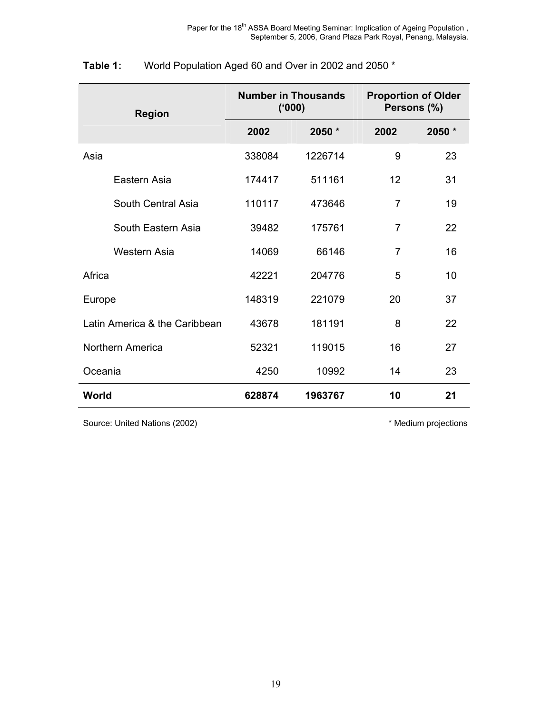| <b>Region</b>                 |        | <b>Number in Thousands</b><br>(000) | <b>Proportion of Older</b><br>Persons (%) |        |  |  |
|-------------------------------|--------|-------------------------------------|-------------------------------------------|--------|--|--|
|                               | 2002   | 2050 *                              | 2002                                      | 2050 * |  |  |
| Asia                          | 338084 | 1226714                             | 9                                         | 23     |  |  |
| Eastern Asia                  | 174417 | 511161                              | 12                                        | 31     |  |  |
| South Central Asia            | 110117 | 473646                              | $\overline{7}$                            | 19     |  |  |
| South Eastern Asia            | 39482  | 175761                              | 7                                         | 22     |  |  |
| Western Asia                  | 14069  | 66146                               | $\overline{7}$                            | 16     |  |  |
| Africa                        | 42221  | 204776                              | 5                                         | 10     |  |  |
| Europe                        | 148319 | 221079                              | 20                                        | 37     |  |  |
| Latin America & the Caribbean | 43678  | 181191                              | 8                                         | 22     |  |  |
| Northern America              | 52321  | 119015                              | 16                                        | 27     |  |  |
| Oceania                       | 4250   | 10992                               | 14                                        | 23     |  |  |
| World                         | 628874 | 1963767                             | 10                                        | 21     |  |  |

# **Table 1:** World Population Aged 60 and Over in 2002 and 2050 \*

Source: United Nations (2002) **Example 2008** \* Medium projections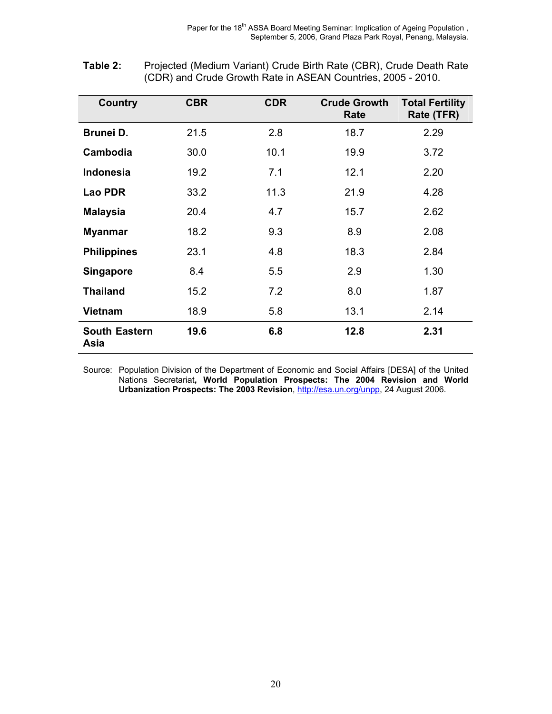| Country                      | <b>CBR</b> | <b>CDR</b> | <b>Crude Growth</b><br>Rate | <b>Total Fertility</b><br>Rate (TFR) |
|------------------------------|------------|------------|-----------------------------|--------------------------------------|
| Brunei D.                    | 21.5       | 2.8        | 18.7                        | 2.29                                 |
| Cambodia                     | 30.0       | 10.1       | 19.9                        | 3.72                                 |
| <b>Indonesia</b>             | 19.2       | 7.1        | 12.1                        | 2.20                                 |
| <b>Lao PDR</b>               | 33.2       | 11.3       | 21.9                        | 4.28                                 |
| <b>Malaysia</b>              | 20.4       | 4.7        | 15.7                        | 2.62                                 |
| <b>Myanmar</b>               | 18.2       | 9.3        | 8.9                         | 2.08                                 |
| <b>Philippines</b>           | 23.1       | 4.8        | 18.3                        | 2.84                                 |
| <b>Singapore</b>             | 8.4        | 5.5        | 2.9                         | 1.30                                 |
| <b>Thailand</b>              | 15.2       | 7.2        | 8.0                         | 1.87                                 |
| <b>Vietnam</b>               | 18.9       | 5.8        | 13.1                        | 2.14                                 |
| <b>South Eastern</b><br>Asia | 19.6       | 6.8        | 12.8                        | 2.31                                 |

| Table 2: | Projected (Medium Variant) Crude Birth Rate (CBR), Crude Death Rate |
|----------|---------------------------------------------------------------------|
|          | (CDR) and Crude Growth Rate in ASEAN Countries, 2005 - 2010.        |

Source: Population Division of the Department of Economic and Social Affairs [DESA] of the United Nations Secretariat**, World Population Prospects: The 2004 Revision and World Urbanization Prospects: The 2003 Revision**, http://esa.un.org/unpp, 24 August 2006.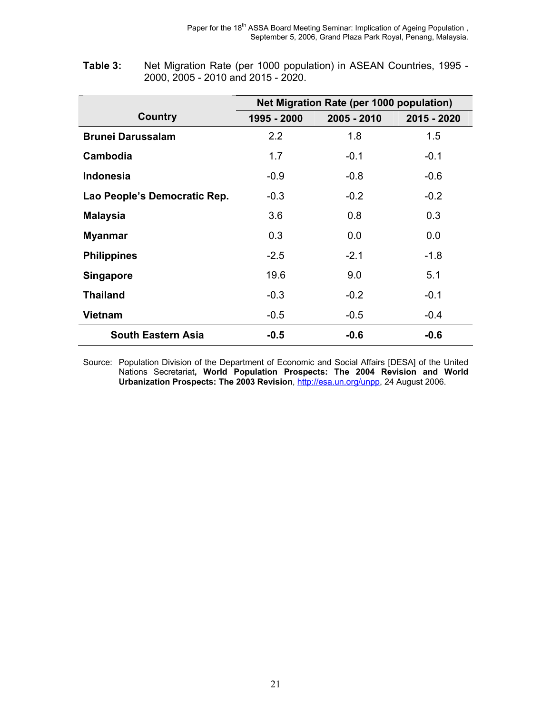|                              |             | Net Migration Rate (per 1000 population) |             |  |  |  |  |  |  |
|------------------------------|-------------|------------------------------------------|-------------|--|--|--|--|--|--|
| <b>Country</b>               | 1995 - 2000 | 2005 - 2010                              | 2015 - 2020 |  |  |  |  |  |  |
| <b>Brunei Darussalam</b>     | 2.2         | 1.8                                      | 1.5         |  |  |  |  |  |  |
| Cambodia                     | 1.7         | $-0.1$                                   | $-0.1$      |  |  |  |  |  |  |
| Indonesia                    | $-0.9$      | $-0.8$                                   | $-0.6$      |  |  |  |  |  |  |
| Lao People's Democratic Rep. | $-0.3$      | $-0.2$                                   | $-0.2$      |  |  |  |  |  |  |
| <b>Malaysia</b>              | 3.6         | 0.8                                      | 0.3         |  |  |  |  |  |  |
| <b>Myanmar</b>               | 0.3         | 0.0                                      | 0.0         |  |  |  |  |  |  |
| <b>Philippines</b>           | $-2.5$      | $-2.1$                                   | $-1.8$      |  |  |  |  |  |  |
| <b>Singapore</b>             | 19.6        | 9.0                                      | 5.1         |  |  |  |  |  |  |
| <b>Thailand</b>              | $-0.3$      | $-0.2$                                   | $-0.1$      |  |  |  |  |  |  |
| <b>Vietnam</b>               | $-0.5$      | $-0.5$                                   | $-0.4$      |  |  |  |  |  |  |
| <b>South Eastern Asia</b>    | $-0.5$      | $-0.6$                                   | $-0.6$      |  |  |  |  |  |  |

| Table 3: | Net Migration Rate (per 1000 population) in ASEAN Countries, 1995 - |
|----------|---------------------------------------------------------------------|
|          | 2000, 2005 - 2010 and 2015 - 2020.                                  |

Source: Population Division of the Department of Economic and Social Affairs [DESA] of the United Nations Secretariat**, World Population Prospects: The 2004 Revision and World Urbanization Prospects: The 2003 Revision**, http://esa.un.org/unpp, 24 August 2006.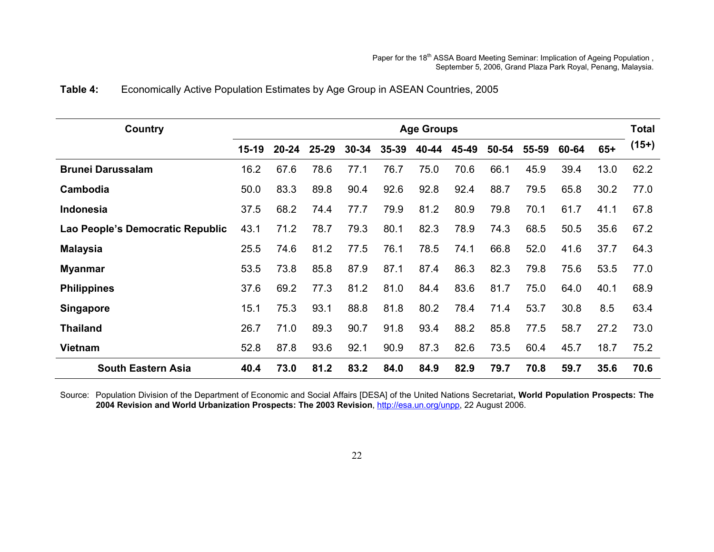# **Table 4:** Economically Active Population Estimates by Age Group in ASEAN Countries, 2005

| Country                          | <b>Age Groups</b> |           |           |           |           |       |       |       |       |       |       | <b>Total</b> |
|----------------------------------|-------------------|-----------|-----------|-----------|-----------|-------|-------|-------|-------|-------|-------|--------------|
|                                  | $15-19$           | $20 - 24$ | $25 - 29$ | $30 - 34$ | $35 - 39$ | 40-44 | 45-49 | 50-54 | 55-59 | 60-64 | $65+$ | $(15+)$      |
| <b>Brunei Darussalam</b>         | 16.2              | 67.6      | 78.6      | 77.1      | 76.7      | 75.0  | 70.6  | 66.1  | 45.9  | 39.4  | 13.0  | 62.2         |
| Cambodia                         | 50.0              | 83.3      | 89.8      | 90.4      | 92.6      | 92.8  | 92.4  | 88.7  | 79.5  | 65.8  | 30.2  | 77.0         |
| <b>Indonesia</b>                 | 37.5              | 68.2      | 74.4      | 77.7      | 79.9      | 81.2  | 80.9  | 79.8  | 70.1  | 61.7  | 41.1  | 67.8         |
| Lao People's Democratic Republic | 43.1              | 71.2      | 78.7      | 79.3      | 80.1      | 82.3  | 78.9  | 74.3  | 68.5  | 50.5  | 35.6  | 67.2         |
| <b>Malaysia</b>                  | 25.5              | 74.6      | 81.2      | 77.5      | 76.1      | 78.5  | 74.1  | 66.8  | 52.0  | 41.6  | 37.7  | 64.3         |
| <b>Myanmar</b>                   | 53.5              | 73.8      | 85.8      | 87.9      | 87.1      | 87.4  | 86.3  | 82.3  | 79.8  | 75.6  | 53.5  | 77.0         |
| <b>Philippines</b>               | 37.6              | 69.2      | 77.3      | 81.2      | 81.0      | 84.4  | 83.6  | 81.7  | 75.0  | 64.0  | 40.1  | 68.9         |
| <b>Singapore</b>                 | 15.1              | 75.3      | 93.1      | 88.8      | 81.8      | 80.2  | 78.4  | 71.4  | 53.7  | 30.8  | 8.5   | 63.4         |
| <b>Thailand</b>                  | 26.7              | 71.0      | 89.3      | 90.7      | 91.8      | 93.4  | 88.2  | 85.8  | 77.5  | 58.7  | 27.2  | 73.0         |
| <b>Vietnam</b>                   | 52.8              | 87.8      | 93.6      | 92.1      | 90.9      | 87.3  | 82.6  | 73.5  | 60.4  | 45.7  | 18.7  | 75.2         |
| <b>South Eastern Asia</b>        | 40.4              | 73.0      | 81.2      | 83.2      | 84.0      | 84.9  | 82.9  | 79.7  | 70.8  | 59.7  | 35.6  | 70.6         |

Source: Population Division of the Department of Economic and Social Affairs [DESA] of the United Nations Secretariat**, World Population Prospects: The 2004 Revision and World Urbanization Prospects: The 2003 Revision**, http://esa.un.org/unpp, 22 August 2006.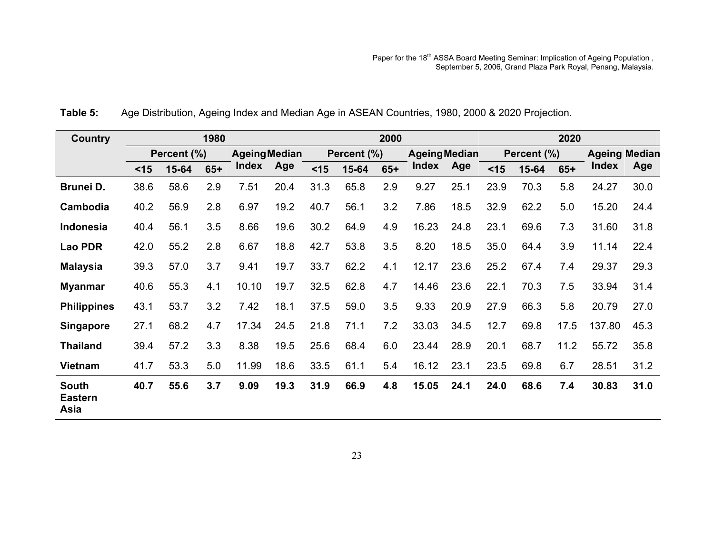| <b>Country</b>                         | 1980   |             |       |                      |      | 2000 |             |       |                      |      |             | 2020  |       |                      |      |  |
|----------------------------------------|--------|-------------|-------|----------------------|------|------|-------------|-------|----------------------|------|-------------|-------|-------|----------------------|------|--|
|                                        |        | Percent (%) |       | <b>Ageing Median</b> |      |      | Percent (%) |       | <b>Ageing Median</b> |      | Percent (%) |       |       | <b>Ageing Median</b> |      |  |
|                                        | $<$ 15 | 15-64       | $65+$ | Index                | Age  | < 15 | 15-64       | $65+$ | <b>Index</b>         | Age  | $<$ 15      | 15-64 | $65+$ | <b>Index</b>         | Age  |  |
| Brunei D.                              | 38.6   | 58.6        | 2.9   | 7.51                 | 20.4 | 31.3 | 65.8        | 2.9   | 9.27                 | 25.1 | 23.9        | 70.3  | 5.8   | 24.27                | 30.0 |  |
| Cambodia                               | 40.2   | 56.9        | 2.8   | 6.97                 | 19.2 | 40.7 | 56.1        | 3.2   | 7.86                 | 18.5 | 32.9        | 62.2  | 5.0   | 15.20                | 24.4 |  |
| Indonesia                              | 40.4   | 56.1        | 3.5   | 8.66                 | 19.6 | 30.2 | 64.9        | 4.9   | 16.23                | 24.8 | 23.1        | 69.6  | 7.3   | 31.60                | 31.8 |  |
| Lao PDR                                | 42.0   | 55.2        | 2.8   | 6.67                 | 18.8 | 42.7 | 53.8        | 3.5   | 8.20                 | 18.5 | 35.0        | 64.4  | 3.9   | 11.14                | 22.4 |  |
| <b>Malaysia</b>                        | 39.3   | 57.0        | 3.7   | 9.41                 | 19.7 | 33.7 | 62.2        | 4.1   | 12.17                | 23.6 | 25.2        | 67.4  | 7.4   | 29.37                | 29.3 |  |
| <b>Myanmar</b>                         | 40.6   | 55.3        | 4.1   | 10.10                | 19.7 | 32.5 | 62.8        | 4.7   | 14.46                | 23.6 | 22.1        | 70.3  | 7.5   | 33.94                | 31.4 |  |
| <b>Philippines</b>                     | 43.1   | 53.7        | 3.2   | 7.42                 | 18.1 | 37.5 | 59.0        | 3.5   | 9.33                 | 20.9 | 27.9        | 66.3  | 5.8   | 20.79                | 27.0 |  |
| <b>Singapore</b>                       | 27.1   | 68.2        | 4.7   | 17.34                | 24.5 | 21.8 | 71.1        | 7.2   | 33.03                | 34.5 | 12.7        | 69.8  | 17.5  | 137.80               | 45.3 |  |
| <b>Thailand</b>                        | 39.4   | 57.2        | 3.3   | 8.38                 | 19.5 | 25.6 | 68.4        | 6.0   | 23.44                | 28.9 | 20.1        | 68.7  | 11.2  | 55.72                | 35.8 |  |
| <b>Vietnam</b>                         | 41.7   | 53.3        | 5.0   | 11.99                | 18.6 | 33.5 | 61.1        | 5.4   | 16.12                | 23.1 | 23.5        | 69.8  | 6.7   | 28.51                | 31.2 |  |
| <b>South</b><br><b>Eastern</b><br>Asia | 40.7   | 55.6        | 3.7   | 9.09                 | 19.3 | 31.9 | 66.9        | 4.8   | 15.05                | 24.1 | 24.0        | 68.6  | 7.4   | 30.83                | 31.0 |  |

**Table 5:** Age Distribution, Ageing Index and Median Age in ASEAN Countries, 1980, 2000 & 2020 Projection.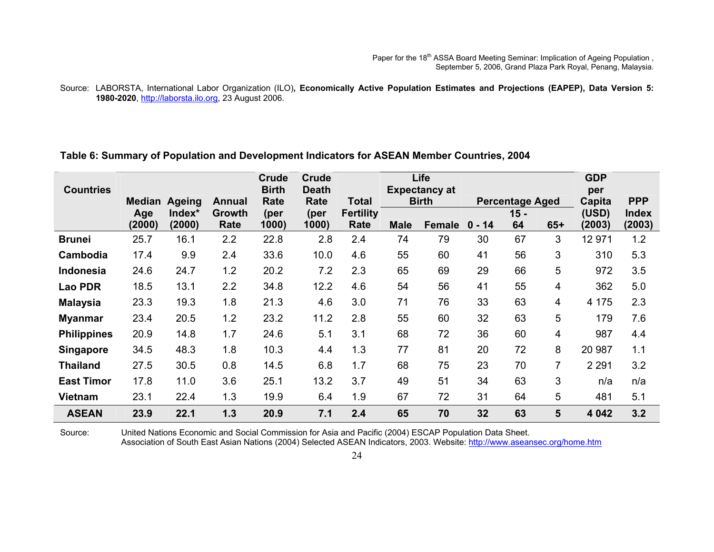#### Source: LABORSTA, International Labor Organization (ILO)**, Economically Active Population Estimates and Projections (EAPEP), Data Version 5: 1980-2020**, http://laborsta.ilo.org, 23 August 2006.

#### **Table 6: Summary of Population and Development Indicators for ASEAN Member Countries, 2004**

|                    |               |               |               | Crude        | <b>Crude</b> |                  |             | Life                 |          |                        |                         | <b>GDP</b> |              |
|--------------------|---------------|---------------|---------------|--------------|--------------|------------------|-------------|----------------------|----------|------------------------|-------------------------|------------|--------------|
| <b>Countries</b>   |               |               |               | <b>Birth</b> | <b>Death</b> |                  |             | <b>Expectancy at</b> |          |                        | per                     |            |              |
|                    | <b>Median</b> | <b>Ageing</b> | <b>Annual</b> | Rate         | Rate         | Total            |             | <b>Birth</b>         |          | <b>Percentage Aged</b> |                         | Capita     | <b>PPP</b>   |
|                    | Age           | Index*        | <b>Growth</b> | (per         | (per         | <b>Fertility</b> |             |                      |          | $15 -$                 |                         | (USD)      | <b>Index</b> |
|                    | (2000)        | (2000)        | Rate          | 1000         | 1000)        | Rate             | <b>Male</b> | Female               | $0 - 14$ | 64                     | $65+$                   | (2003)     | (2003)       |
| <b>Brunei</b>      | 25.7          | 16.1          | 2.2           | 22.8         | 2.8          | 2.4              | 74          | 79                   | 30       | 67                     | 3                       | 12 971     | 1.2          |
| Cambodia           | 17.4          | 9.9           | 2.4           | 33.6         | 10.0         | 4.6              | 55          | 60                   | 41       | 56                     | 3                       | 310        | 5.3          |
| <b>Indonesia</b>   | 24.6          | 24.7          | 1.2           | 20.2         | 7.2          | 2.3              | 65          | 69                   | 29       | 66                     | 5                       | 972        | 3.5          |
| <b>Lao PDR</b>     | 18.5          | 13.1          | 2.2           | 34.8         | 12.2         | 4.6              | 54          | 56                   | 41       | 55                     | 4                       | 362        | 5.0          |
| <b>Malaysia</b>    | 23.3          | 19.3          | 1.8           | 21.3         | 4.6          | 3.0              | 71          | 76                   | 33       | 63                     | $\overline{\mathbf{4}}$ | 4 1 7 5    | 2.3          |
| <b>Myanmar</b>     | 23.4          | 20.5          | 1.2           | 23.2         | 11.2         | 2.8              | 55          | 60                   | 32       | 63                     | 5                       | 179        | 7.6          |
| <b>Philippines</b> | 20.9          | 14.8          | 1.7           | 24.6         | 5.1          | 3.1              | 68          | 72                   | 36       | 60                     | 4                       | 987        | 4.4          |
| <b>Singapore</b>   | 34.5          | 48.3          | 1.8           | 10.3         | 4.4          | 1.3              | 77          | 81                   | 20       | 72                     | 8                       | 20 987     | 1.1          |
| <b>Thailand</b>    | 27.5          | 30.5          | 0.8           | 14.5         | 6.8          | 1.7              | 68          | 75                   | 23       | 70                     | $\overline{7}$          | 2 2 9 1    | 3.2          |
| <b>East Timor</b>  | 17.8          | 11.0          | 3.6           | 25.1         | 13.2         | 3.7              | 49          | 51                   | 34       | 63                     | 3                       | n/a        | n/a          |
| Vietnam            | 23.1          | 22.4          | 1.3           | 19.9         | 6.4          | 1.9              | 67          | 72                   | 31       | 64                     | 5                       | 481        | 5.1          |
| <b>ASEAN</b>       | 23.9          | 22.1          | 1.3           | 20.9         | 7.1          | 2.4              | 65          | 70                   | 32       | 63                     | 5                       | 4 0 4 2    | 3.2          |

Source: United Nations Economic and Social Commission for Asia and Pacific (2004) ESCAP Population Data Sheet.

Association of South East Asian Nations (2004) Selected ASEAN Indicators, 2003. Website: http://www.aseansec.org/home.htm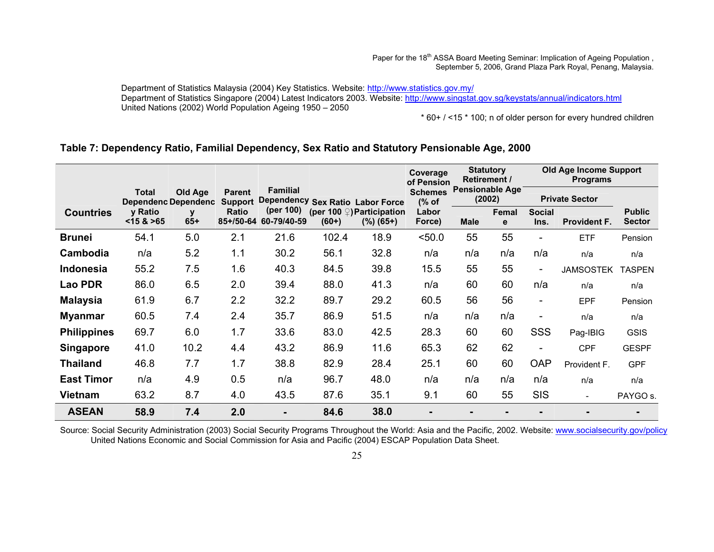Paper for the 18<sup>th</sup> ASSA Board Meeting Seminar: Implication of Ageing Population, September 5, 2006, Grand Plaza Park Royal, Penang, Malaysia.

Department of Statistics Malaysia (2004) Key Statistics. Website: http://www.statistics.gov.my/ Department of Statistics Singapore (2004) Latest Indicators 2003. Website: http://www.singstat.gov.sg/keystats/annual/indicators.html United Nations (2002) World Population Ageing 1950 – 2050

\* 60+ / <15 \* 100; n of older person for every hundred children

#### **Table 7: Dependency Ratio, Familial Dependency, Sex Ratio and Statutory Pensionable Age, 2000**

|                    |                      |                                       |                                 |                                                     |         |                                                 |                         | <b>Statutory</b><br><b>Retirement /</b><br>of Pension |            | Old Age Income Support<br><b>Programs</b> |                          |                                |  |
|--------------------|----------------------|---------------------------------------|---------------------------------|-----------------------------------------------------|---------|-------------------------------------------------|-------------------------|-------------------------------------------------------|------------|-------------------------------------------|--------------------------|--------------------------------|--|
|                    | Total                | Old Age<br><b>Dependenc Dependenc</b> | <b>Parent</b><br><b>Support</b> | <b>Familial</b><br>Dependency Sex Ratio Labor Force |         |                                                 | <b>Schemes</b><br>(% of | <b>Pensionable Age</b><br>(2002)                      |            | <b>Private Sector</b>                     |                          |                                |  |
| <b>Countries</b>   | y Ratio<br>< 15 > 65 | V<br>$65+$                            | <b>Ratio</b><br>85+/50-64       | (per 100)<br>60-79/40-59                            | $(60+)$ | (per 100 $\circ$ ) Participation<br>$(%) (65+)$ |                         | <b>Male</b>                                           | Femal<br>e | <b>Social</b><br>Ins.                     | <b>Provident F.</b>      | <b>Public</b><br><b>Sector</b> |  |
| <b>Brunei</b>      | 54.1                 | 5.0                                   | 2.1                             | 21.6                                                | 102.4   | 18.9                                            | 50.0                    | 55                                                    | 55         | $\overline{\phantom{0}}$                  | <b>ETF</b>               | Pension                        |  |
| Cambodia           | n/a                  | 5.2                                   | 1.1                             | 30.2                                                | 56.1    | 32.8                                            | n/a                     | n/a                                                   | n/a        | n/a                                       | n/a                      | n/a                            |  |
| Indonesia          | 55.2                 | 7.5                                   | 1.6                             | 40.3                                                | 84.5    | 39.8                                            | 15.5                    | 55                                                    | 55         | $\blacksquare$                            | <b>JAMSOSTEK</b>         | <b>TASPEN</b>                  |  |
| <b>Lao PDR</b>     | 86.0                 | 6.5                                   | 2.0                             | 39.4                                                | 88.0    | 41.3                                            | n/a                     | 60                                                    | 60         | n/a                                       | n/a                      | n/a                            |  |
| <b>Malaysia</b>    | 61.9                 | 6.7                                   | 2.2                             | 32.2                                                | 89.7    | 29.2                                            | 60.5                    | 56                                                    | 56         | $\overline{\phantom{a}}$                  | <b>EPF</b>               | Pension                        |  |
| <b>Myanmar</b>     | 60.5                 | 7.4                                   | 2.4                             | 35.7                                                | 86.9    | 51.5                                            | n/a                     | n/a                                                   | n/a        | $\qquad \qquad \blacksquare$              | n/a                      | n/a                            |  |
| <b>Philippines</b> | 69.7                 | 6.0                                   | 1.7                             | 33.6                                                | 83.0    | 42.5                                            | 28.3                    | 60                                                    | 60         | SSS                                       | Pag-IBIG                 | <b>GSIS</b>                    |  |
| <b>Singapore</b>   | 41.0                 | 10.2                                  | 4.4                             | 43.2                                                | 86.9    | 11.6                                            | 65.3                    | 62                                                    | 62         | $\blacksquare$                            | <b>CPF</b>               | <b>GESPF</b>                   |  |
| <b>Thailand</b>    | 46.8                 | 7.7                                   | 1.7                             | 38.8                                                | 82.9    | 28.4                                            | 25.1                    | 60                                                    | 60         | <b>OAP</b>                                | Provident F.             | <b>GPF</b>                     |  |
| <b>East Timor</b>  | n/a                  | 4.9                                   | 0.5                             | n/a                                                 | 96.7    | 48.0                                            | n/a                     | n/a                                                   | n/a        | n/a                                       | n/a                      | n/a                            |  |
| <b>Vietnam</b>     | 63.2                 | 8.7                                   | 4.0                             | 43.5                                                | 87.6    | 35.1                                            | 9.1                     | 60                                                    | 55         | <b>SIS</b>                                | $\overline{\phantom{0}}$ | PAYGO s.                       |  |
| <b>ASEAN</b>       | 58.9                 | 7.4                                   | 2.0                             | $\blacksquare$                                      | 84.6    | 38.0                                            |                         |                                                       |            |                                           |                          |                                |  |

Source: Social Security Administration (2003) Social Security Programs Throughout the World: Asia and the Pacific, 2002. Website: www.socialsecurity.gov/policy United Nations Economic and Social Commission for Asia and Pacific (2004) ESCAP Population Data Sheet.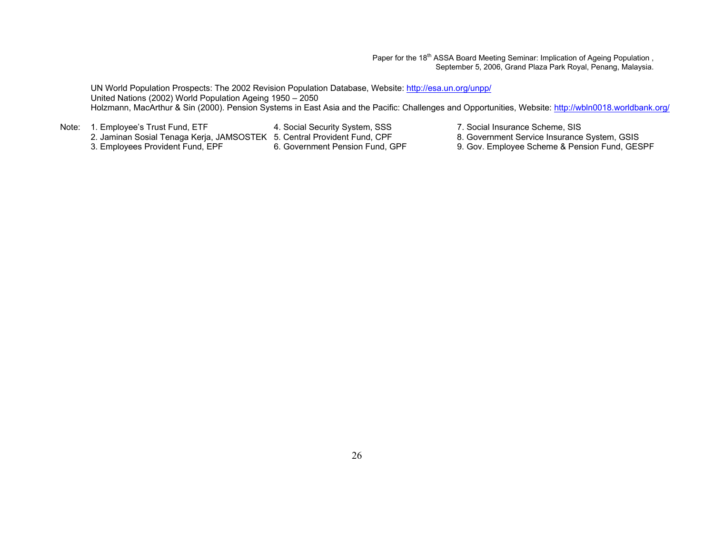Paper for the 18<sup>th</sup> ASSA Board Meeting Seminar: Implication of Ageing Population, September 5, 2006, Grand Plaza Park Royal, Penang, Malaysia.

UN World Population Prospects: The 2002 Revision Population Database, Website: http://esa.un.org/unpp/ United Nations (2002) World Population Ageing 1950 – 2050 Holzmann, MacArthur & Sin (2000). Pension Systems in East Asia and the Pacific: Challenges and Opportunities, Website: http://wbln0018.worldbank.org/

2. Jaminan Sosial Tenaga Kerja, JAMSOSTEK 5. Central Provident Fund, CPF<br>3. Employees Provident Fund, EPF 6. Government Pension Fund, GPF

- 
- Note: 1. Employee's Trust Fund, ETF 4. Social Security System, SSS 7. Social Insurance Scheme, SIS<br>2. Jaminan Sosial Tenaga Kerja, JAMSOSTEK 5. Central Provident Fund, CPF 8. Government Service Insurance System, GSIS
	- 9. Gov. Employee Scheme & Pension Fund, GESPF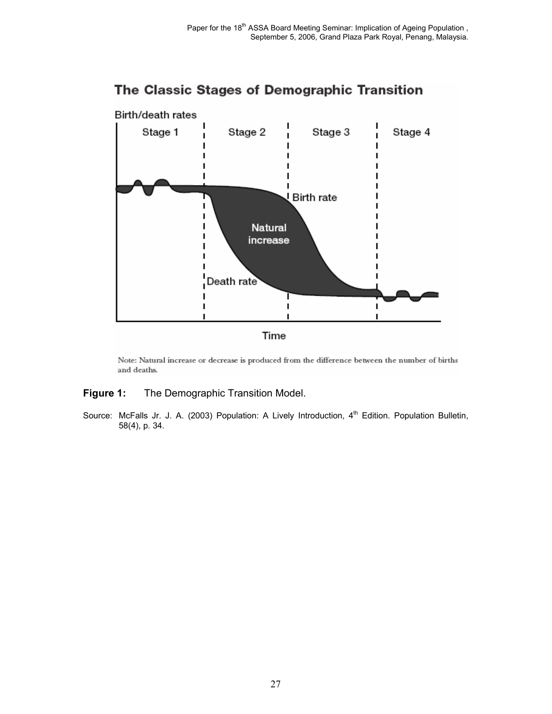

# The Classic Stages of Demographic Transition

Note: Natural increase or decrease is produced from the difference between the number of births and deaths.

#### **Figure 1:** The Demographic Transition Model.

Source: McFalls Jr. J. A. (2003) Population: A Lively Introduction,  $4<sup>th</sup>$  Edition. Population Bulletin, 58(4), p. 34.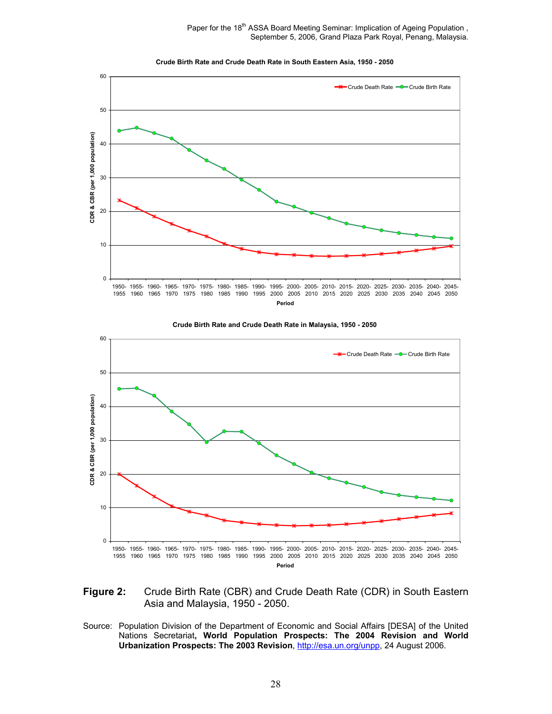Paper for the 18<sup>th</sup> ASSA Board Meeting Seminar: Implication of Ageing Population, September 5, 2006, Grand Plaza Park Royal, Penang, Malaysia.











Source: Population Division of the Department of Economic and Social Affairs [DESA] of the United Nations Secretariat**, World Population Prospects: The 2004 Revision and World Urbanization Prospects: The 2003 Revision**, http://esa.un.org/unpp, 24 August 2006.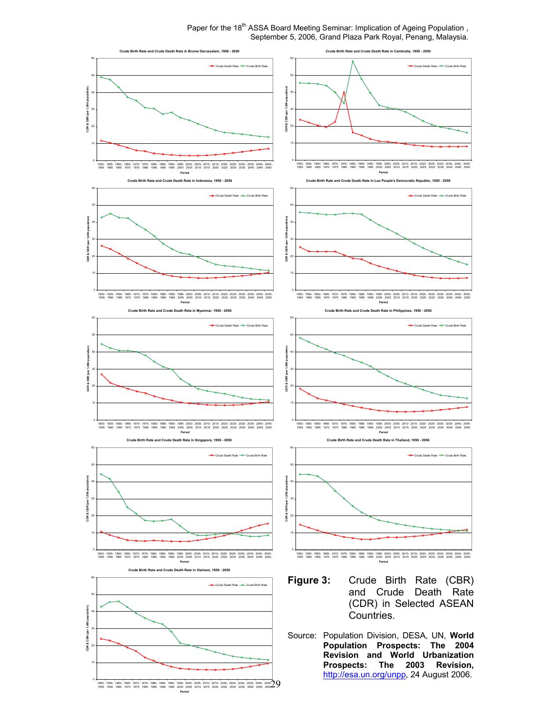Paper for the 18<sup>th</sup> ASSA Board Meeting Seminar: Implication of Ageing Population, September 5, 2006, Grand Plaza Park Royal, Penang, Malaysia.

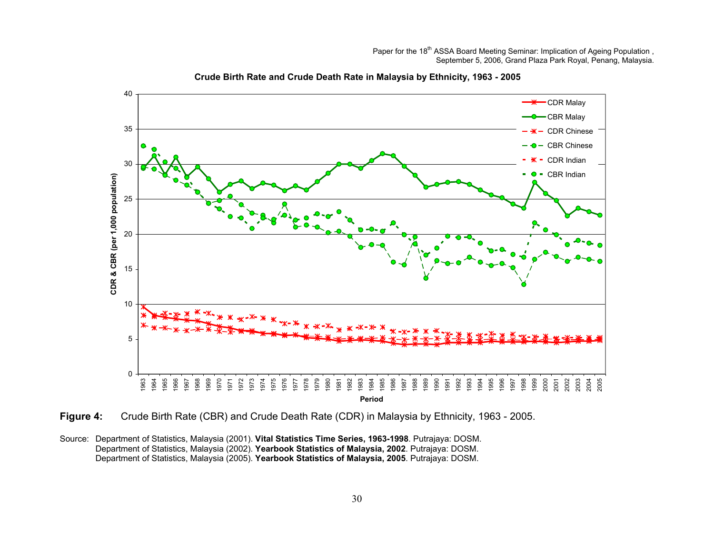

**Crude Birth Rate and Crude Death Rate in Malaysia by Ethnicity, 1963 - 2005**

**Figure 4:** Crude Birth Rate (CBR) and Crude Death Rate (CDR) in Malaysia by Ethnicity, 1963 - 2005.

Source: Department of Statistics, Malaysia (2001). **Vital Statistics Time Series, 1963-1998**. Putrajaya: DOSM. Department of Statistics, Malaysia (2002). **Yearbook Statistics of Malaysia, 2002**. Putrajaya: DOSM. Department of Statistics, Malaysia (2005). **Yearbook Statistics of Malaysia, 2005**. Putrajaya: DOSM.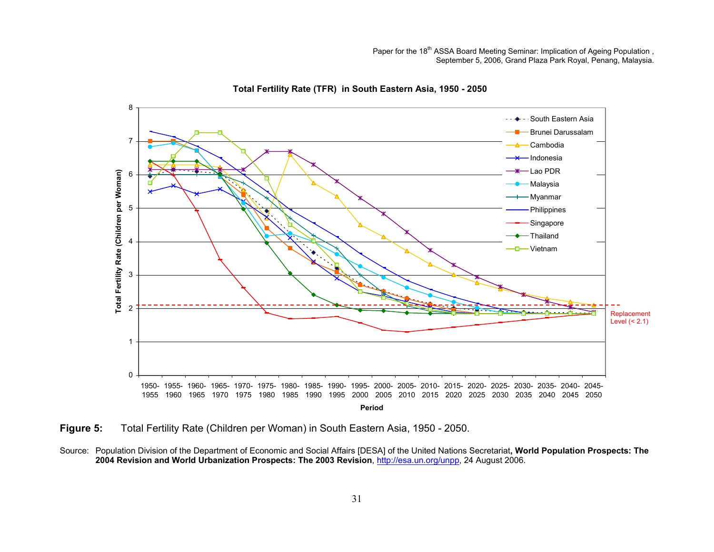

**Total Fertility Rate (TFR) in South Eastern Asia, 1950 - 2050**

**Figure 5:** Total Fertility Rate (Children per Woman) in South Eastern Asia, 1950 - 2050.

Source: Population Division of the Department of Economic and Social Affairs [DESA] of the United Nations Secretariat**, World Population Prospects: The 2004 Revision and World Urbanization Prospects: The 2003 Revision**, http://esa.un.org/unpp, 24 August 2006.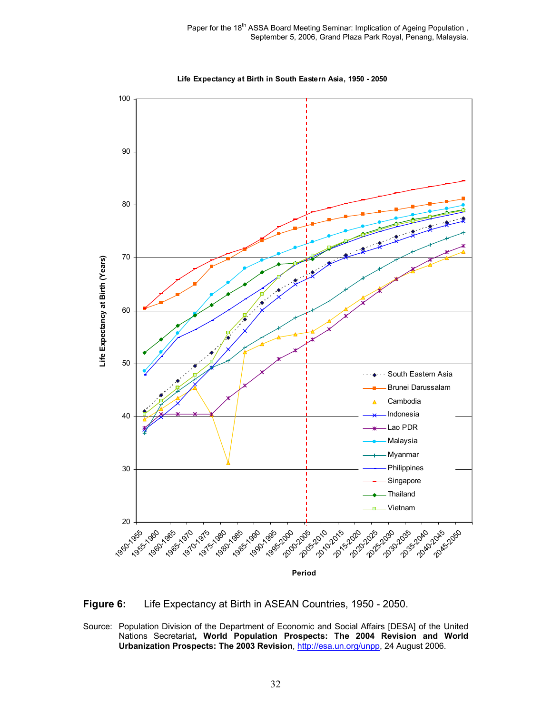

**Life Expectancy at Birth in South Eastern Asia, 1950 - 2050**

**Figure 6:** Life Expectancy at Birth in ASEAN Countries, 1950 - 2050.

Source: Population Division of the Department of Economic and Social Affairs [DESA] of the United Nations Secretariat**, World Population Prospects: The 2004 Revision and World**  Urbanization Prospects: The 2003 Revision, http://esa.un.org/unpp, 24 August 2006.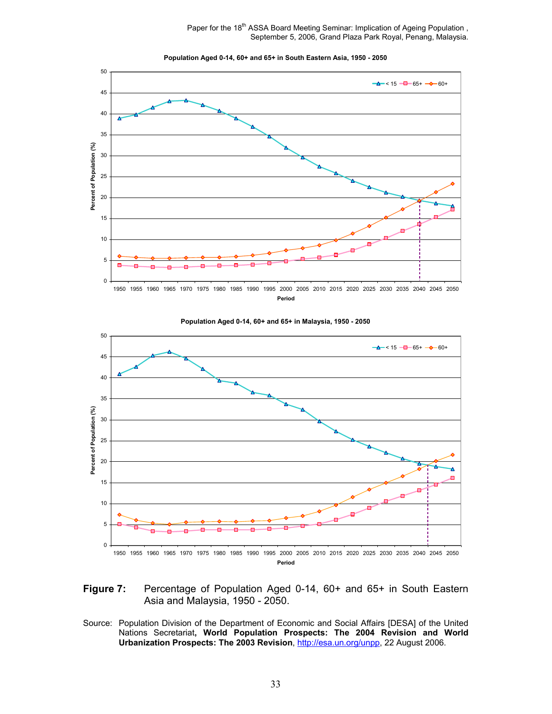Paper for the 18<sup>th</sup> ASSA Board Meeting Seminar: Implication of Ageing Population, September 5, 2006, Grand Plaza Park Royal, Penang, Malaysia.



**Population Aged 0-14, 60+ and 65+ in South Eastern Asia, 1950 - 2050**



**Population Aged 0-14, 60+ and 65+ in Malaysia, 1950 - 2050**

- **Figure 7:** Percentage of Population Aged 0-14, 60+ and 65+ in South Eastern Asia and Malaysia, 1950 - 2050.
- Source: Population Division of the Department of Economic and Social Affairs [DESA] of the United Nations Secretariat**, World Population Prospects: The 2004 Revision and World Urbanization Prospects: The 2003 Revision**, http://esa.un.org/unpp, 22 August 2006.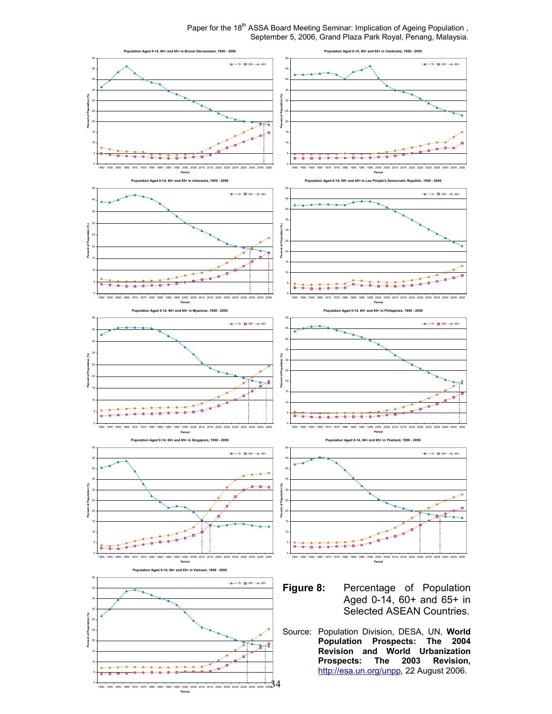Paper for the 18<sup>th</sup> ASSA Board Meeting Seminar: Implication of Ageing Population, September 5, 2006, Grand Plaza Park Royal, Penang, Malaysia.

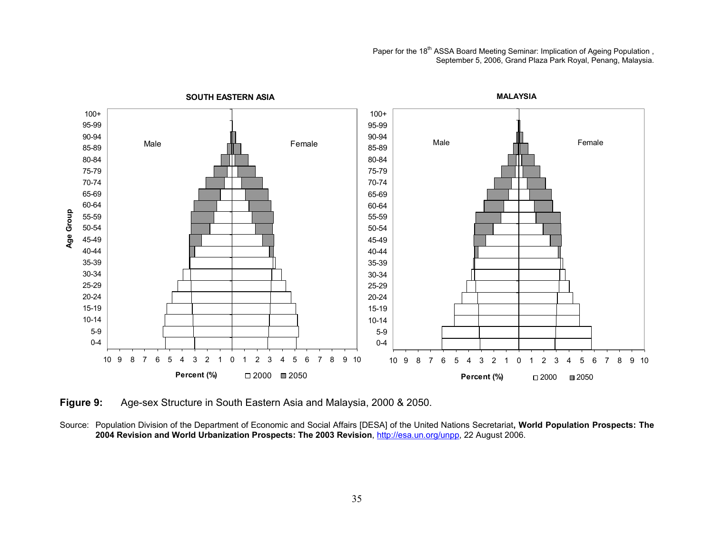Paper for the 18<sup>th</sup> ASSA Board Meeting Seminar: Implication of Ageing Population, September 5, 2006, Grand Plaza Park Royal, Penang, Malaysia.



**Figure 9:** Age-sex Structure in South Eastern Asia and Malaysia, 2000 & 2050.

Source: Population Division of the Department of Economic and Social Affairs [DESA] of the United Nations Secretariat**, World Population Prospects: The 2004 Revision and World Urbanization Prospects: The 2003 Revision**, http://esa.un.org/unpp, 22 August 2006.